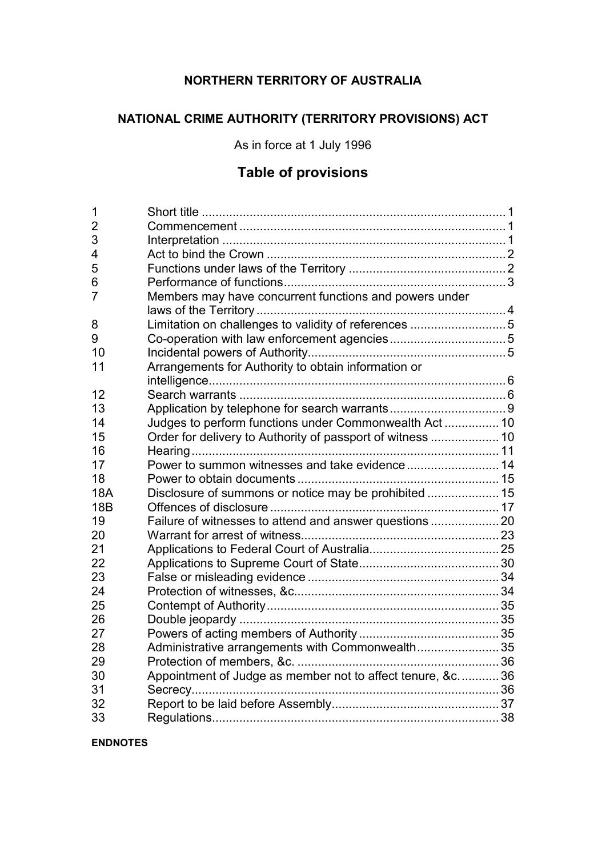# **NORTHERN TERRITORY OF AUSTRALIA**

# **NATIONAL CRIME AUTHORITY (TERRITORY PROVISIONS) ACT**

As in force at 1 July 1996

# **Table of provisions**

| 1               |                                                            |  |
|-----------------|------------------------------------------------------------|--|
| 2               |                                                            |  |
| 3               |                                                            |  |
| 4               |                                                            |  |
| 5               |                                                            |  |
| 6               |                                                            |  |
| $\overline{7}$  | Members may have concurrent functions and powers under     |  |
|                 |                                                            |  |
| 8               | Limitation on challenges to validity of references 5       |  |
| 9               |                                                            |  |
| 10              |                                                            |  |
| 11              | Arrangements for Authority to obtain information or        |  |
|                 |                                                            |  |
| 12              |                                                            |  |
| 13              |                                                            |  |
| 14              | Judges to perform functions under Commonwealth Act  10     |  |
| 15              | Order for delivery to Authority of passport of witness  10 |  |
| 16              |                                                            |  |
| 17              |                                                            |  |
| 18              |                                                            |  |
| <b>18A</b>      | Disclosure of summons or notice may be prohibited  15      |  |
| 18 <sub>B</sub> |                                                            |  |
| 19              | Failure of witnesses to attend and answer questions        |  |
| 20              |                                                            |  |
| 21              |                                                            |  |
| 22              |                                                            |  |
| 23              |                                                            |  |
| 24              |                                                            |  |
| 25              |                                                            |  |
| 26              |                                                            |  |
| 27              |                                                            |  |
| 28              | Administrative arrangements with Commonwealth 35           |  |
| 29              |                                                            |  |
| 30              | Appointment of Judge as member not to affect tenure, &c36  |  |
| 31              |                                                            |  |
| 32              |                                                            |  |
| 33              |                                                            |  |

**ENDNOTES**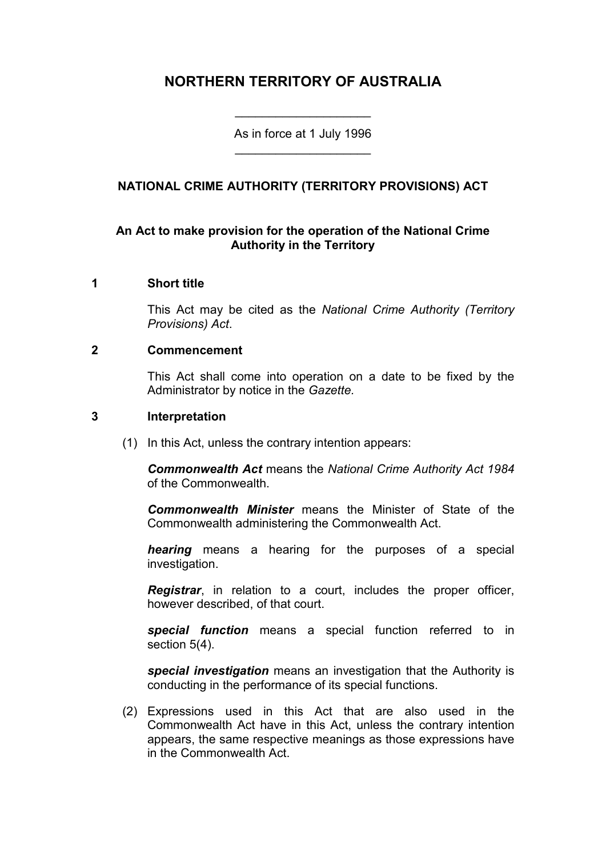# **NORTHERN TERRITORY OF AUSTRALIA**

As in force at 1 July 1996 \_\_\_\_\_\_\_\_\_\_\_\_\_\_\_\_\_\_\_\_

\_\_\_\_\_\_\_\_\_\_\_\_\_\_\_\_\_\_\_\_

# **NATIONAL CRIME AUTHORITY (TERRITORY PROVISIONS) ACT**

# **An Act to make provision for the operation of the National Crime Authority in the Territory**

### **1 Short title**

This Act may be cited as the *National Crime Authority (Territory Provisions) Act*.

### **2 Commencement**

This Act shall come into operation on a date to be fixed by the Administrator by notice in the *Gazette.*

### **3 Interpretation**

(1) In this Act, unless the contrary intention appears:

*Commonwealth Act* means the *National Crime Authority Act 1984*  of the Commonwealth.

*Commonwealth Minister* means the Minister of State of the Commonwealth administering the Commonwealth Act.

*hearing* means a hearing for the purposes of a special investigation.

*Registrar*, in relation to a court, includes the proper officer, however described, of that court.

*special function* means a special function referred to in section 5(4).

*special investigation* means an investigation that the Authority is conducting in the performance of its special functions.

(2) Expressions used in this Act that are also used in the Commonwealth Act have in this Act, unless the contrary intention appears, the same respective meanings as those expressions have in the Commonwealth Act.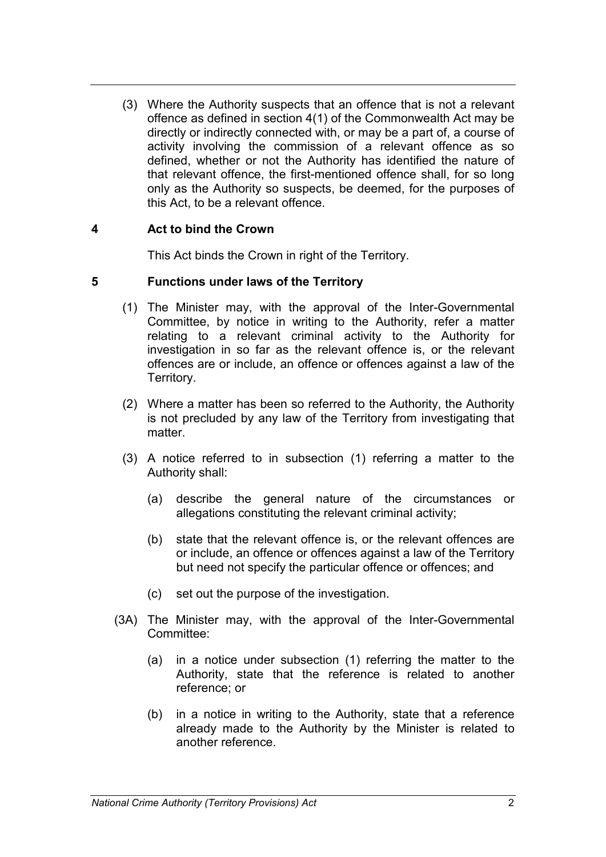(3) Where the Authority suspects that an offence that is not a relevant offence as defined in section 4(1) of the Commonwealth Act may be directly or indirectly connected with, or may be a part of, a course of activity involving the commission of a relevant offence as so defined, whether or not the Authority has identified the nature of that relevant offence, the first-mentioned offence shall, for so long only as the Authority so suspects, be deemed, for the purposes of this Act, to be a relevant offence.

# **4 Act to bind the Crown**

This Act binds the Crown in right of the Territory.

# **5 Functions under laws of the Territory**

- (1) The Minister may, with the approval of the Inter-Governmental Committee, by notice in writing to the Authority, refer a matter relating to a relevant criminal activity to the Authority for investigation in so far as the relevant offence is, or the relevant offences are or include, an offence or offences against a law of the Territory.
- (2) Where a matter has been so referred to the Authority, the Authority is not precluded by any law of the Territory from investigating that matter.
- (3) A notice referred to in subsection (1) referring a matter to the Authority shall:
	- (a) describe the general nature of the circumstances or allegations constituting the relevant criminal activity;
	- (b) state that the relevant offence is, or the relevant offences are or include, an offence or offences against a law of the Territory but need not specify the particular offence or offences; and
	- (c) set out the purpose of the investigation.
- (3A) The Minister may, with the approval of the Inter-Governmental Committee:
	- (a) in a notice under subsection (1) referring the matter to the Authority, state that the reference is related to another reference; or
	- (b) in a notice in writing to the Authority, state that a reference already made to the Authority by the Minister is related to another reference.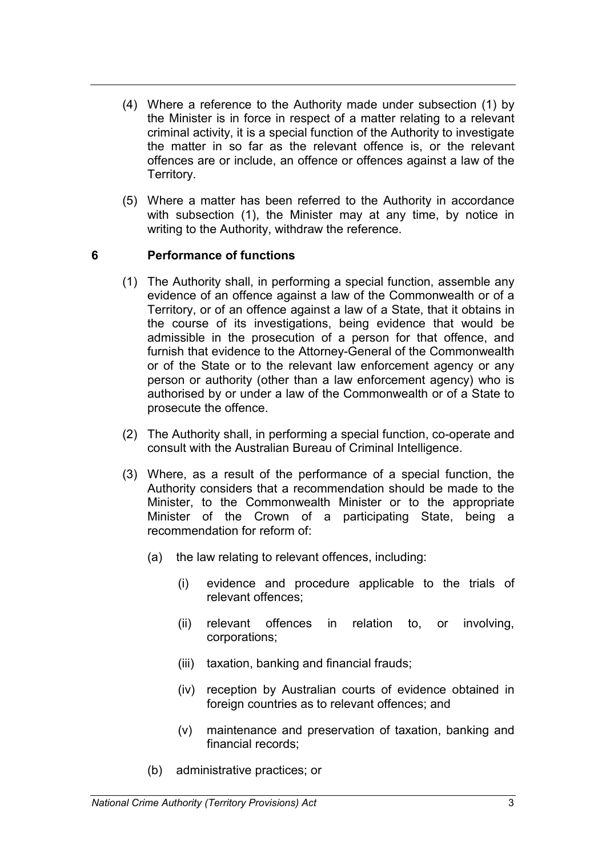- (4) Where a reference to the Authority made under subsection (1) by the Minister is in force in respect of a matter relating to a relevant criminal activity, it is a special function of the Authority to investigate the matter in so far as the relevant offence is, or the relevant offences are or include, an offence or offences against a law of the Territory.
- (5) Where a matter has been referred to the Authority in accordance with subsection (1), the Minister may at any time, by notice in writing to the Authority, withdraw the reference.

# **6 Performance of functions**

- (1) The Authority shall, in performing a special function, assemble any evidence of an offence against a law of the Commonwealth or of a Territory, or of an offence against a law of a State, that it obtains in the course of its investigations, being evidence that would be admissible in the prosecution of a person for that offence, and furnish that evidence to the Attorney-General of the Commonwealth or of the State or to the relevant law enforcement agency or any person or authority (other than a law enforcement agency) who is authorised by or under a law of the Commonwealth or of a State to prosecute the offence.
- (2) The Authority shall, in performing a special function, co-operate and consult with the Australian Bureau of Criminal Intelligence.
- (3) Where, as a result of the performance of a special function, the Authority considers that a recommendation should be made to the Minister, to the Commonwealth Minister or to the appropriate Minister of the Crown of a participating State, being a recommendation for reform of:
	- (a) the law relating to relevant offences, including:
		- (i) evidence and procedure applicable to the trials of relevant offences;
		- (ii) relevant offences in relation to, or involving, corporations;
		- (iii) taxation, banking and financial frauds;
		- (iv) reception by Australian courts of evidence obtained in foreign countries as to relevant offences; and
		- (v) maintenance and preservation of taxation, banking and financial records;
	- (b) administrative practices; or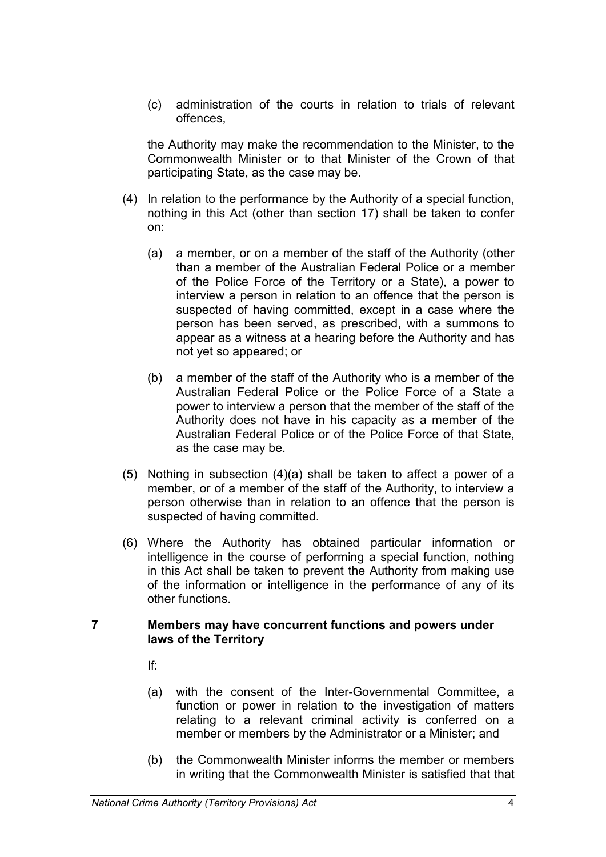(c) administration of the courts in relation to trials of relevant offences,

the Authority may make the recommendation to the Minister, to the Commonwealth Minister or to that Minister of the Crown of that participating State, as the case may be.

- (4) In relation to the performance by the Authority of a special function, nothing in this Act (other than section 17) shall be taken to confer on:
	- (a) a member, or on a member of the staff of the Authority (other than a member of the Australian Federal Police or a member of the Police Force of the Territory or a State), a power to interview a person in relation to an offence that the person is suspected of having committed, except in a case where the person has been served, as prescribed, with a summons to appear as a witness at a hearing before the Authority and has not yet so appeared; or
	- (b) a member of the staff of the Authority who is a member of the Australian Federal Police or the Police Force of a State a power to interview a person that the member of the staff of the Authority does not have in his capacity as a member of the Australian Federal Police or of the Police Force of that State, as the case may be.
- (5) Nothing in subsection  $(4)(a)$  shall be taken to affect a power of a member, or of a member of the staff of the Authority, to interview a person otherwise than in relation to an offence that the person is suspected of having committed.
- (6) Where the Authority has obtained particular information or intelligence in the course of performing a special function, nothing in this Act shall be taken to prevent the Authority from making use of the information or intelligence in the performance of any of its other functions.

### **7 Members may have concurrent functions and powers under laws of the Territory**

If:

- (a) with the consent of the Inter-Governmental Committee, a function or power in relation to the investigation of matters relating to a relevant criminal activity is conferred on a member or members by the Administrator or a Minister; and
- (b) the Commonwealth Minister informs the member or members in writing that the Commonwealth Minister is satisfied that that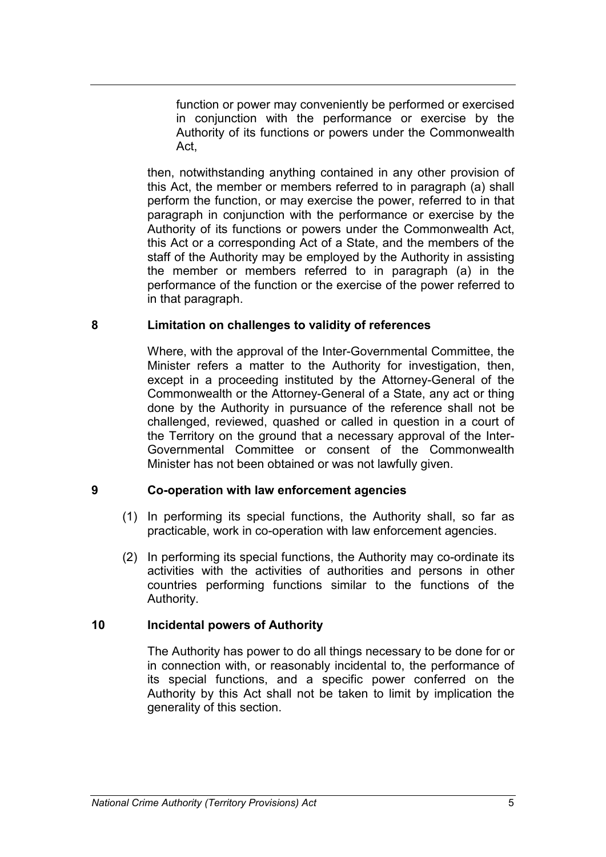function or power may conveniently be performed or exercised in conjunction with the performance or exercise by the Authority of its functions or powers under the Commonwealth Act,

then, notwithstanding anything contained in any other provision of this Act, the member or members referred to in paragraph (a) shall perform the function, or may exercise the power, referred to in that paragraph in conjunction with the performance or exercise by the Authority of its functions or powers under the Commonwealth Act, this Act or a corresponding Act of a State, and the members of the staff of the Authority may be employed by the Authority in assisting the member or members referred to in paragraph (a) in the performance of the function or the exercise of the power referred to in that paragraph.

# **8 Limitation on challenges to validity of references**

Where, with the approval of the Inter-Governmental Committee, the Minister refers a matter to the Authority for investigation, then, except in a proceeding instituted by the Attorney-General of the Commonwealth or the Attorney-General of a State, any act or thing done by the Authority in pursuance of the reference shall not be challenged, reviewed, quashed or called in question in a court of the Territory on the ground that a necessary approval of the Inter-Governmental Committee or consent of the Commonwealth Minister has not been obtained or was not lawfully given.

### **9 Co-operation with law enforcement agencies**

- (1) In performing its special functions, the Authority shall, so far as practicable, work in co-operation with law enforcement agencies.
- (2) In performing its special functions, the Authority may co-ordinate its activities with the activities of authorities and persons in other countries performing functions similar to the functions of the Authority.

# **10 Incidental powers of Authority**

The Authority has power to do all things necessary to be done for or in connection with, or reasonably incidental to, the performance of its special functions, and a specific power conferred on the Authority by this Act shall not be taken to limit by implication the generality of this section.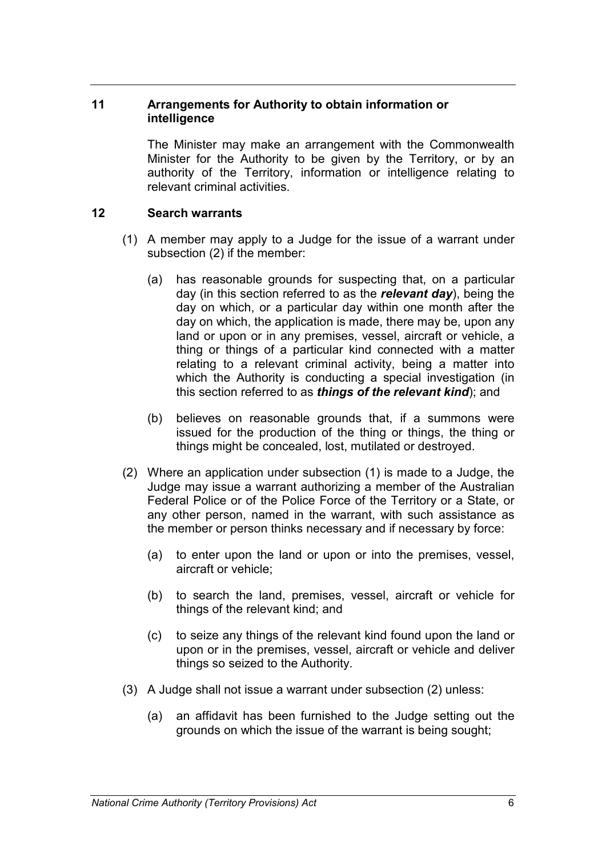## **11 Arrangements for Authority to obtain information or intelligence**

The Minister may make an arrangement with the Commonwealth Minister for the Authority to be given by the Territory, or by an authority of the Territory, information or intelligence relating to relevant criminal activities.

# **12 Search warrants**

- (1) A member may apply to a Judge for the issue of a warrant under subsection (2) if the member:
	- (a) has reasonable grounds for suspecting that, on a particular day (in this section referred to as the *relevant day*), being the day on which, or a particular day within one month after the day on which, the application is made, there may be, upon any land or upon or in any premises, vessel, aircraft or vehicle, a thing or things of a particular kind connected with a matter relating to a relevant criminal activity, being a matter into which the Authority is conducting a special investigation (in this section referred to as *things of the relevant kind*); and
	- (b) believes on reasonable grounds that, if a summons were issued for the production of the thing or things, the thing or things might be concealed, lost, mutilated or destroyed.
- (2) Where an application under subsection (1) is made to a Judge, the Judge may issue a warrant authorizing a member of the Australian Federal Police or of the Police Force of the Territory or a State, or any other person, named in the warrant, with such assistance as the member or person thinks necessary and if necessary by force:
	- (a) to enter upon the land or upon or into the premises, vessel, aircraft or vehicle;
	- (b) to search the land, premises, vessel, aircraft or vehicle for things of the relevant kind; and
	- (c) to seize any things of the relevant kind found upon the land or upon or in the premises, vessel, aircraft or vehicle and deliver things so seized to the Authority.
- (3) A Judge shall not issue a warrant under subsection (2) unless:
	- (a) an affidavit has been furnished to the Judge setting out the grounds on which the issue of the warrant is being sought;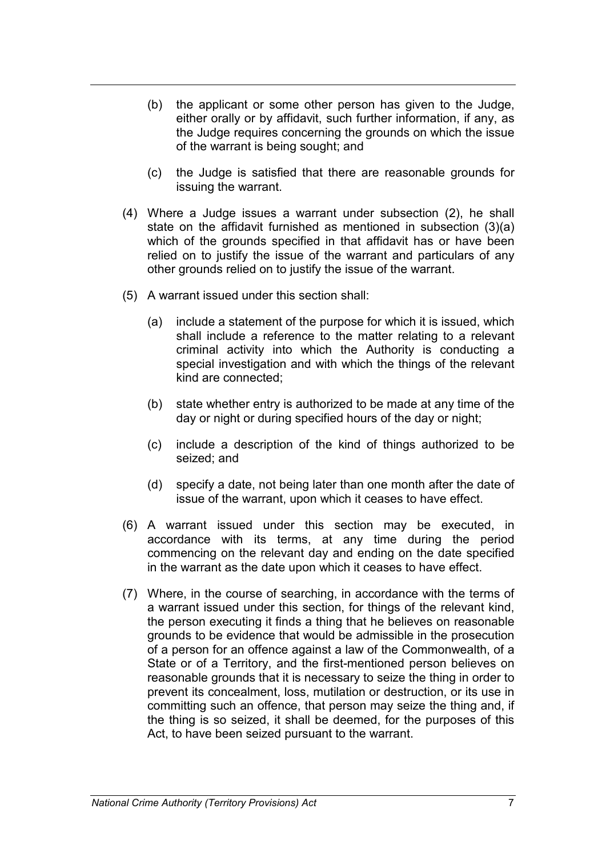- (b) the applicant or some other person has given to the Judge, either orally or by affidavit, such further information, if any, as the Judge requires concerning the grounds on which the issue of the warrant is being sought; and
- (c) the Judge is satisfied that there are reasonable grounds for issuing the warrant.
- (4) Where a Judge issues a warrant under subsection (2), he shall state on the affidavit furnished as mentioned in subsection (3)(a) which of the grounds specified in that affidavit has or have been relied on to justify the issue of the warrant and particulars of any other grounds relied on to justify the issue of the warrant.
- (5) A warrant issued under this section shall:
	- (a) include a statement of the purpose for which it is issued, which shall include a reference to the matter relating to a relevant criminal activity into which the Authority is conducting a special investigation and with which the things of the relevant kind are connected;
	- (b) state whether entry is authorized to be made at any time of the day or night or during specified hours of the day or night;
	- (c) include a description of the kind of things authorized to be seized; and
	- (d) specify a date, not being later than one month after the date of issue of the warrant, upon which it ceases to have effect.
- (6) A warrant issued under this section may be executed, in accordance with its terms, at any time during the period commencing on the relevant day and ending on the date specified in the warrant as the date upon which it ceases to have effect.
- (7) Where, in the course of searching, in accordance with the terms of a warrant issued under this section, for things of the relevant kind, the person executing it finds a thing that he believes on reasonable grounds to be evidence that would be admissible in the prosecution of a person for an offence against a law of the Commonwealth, of a State or of a Territory, and the first-mentioned person believes on reasonable grounds that it is necessary to seize the thing in order to prevent its concealment, loss, mutilation or destruction, or its use in committing such an offence, that person may seize the thing and, if the thing is so seized, it shall be deemed, for the purposes of this Act, to have been seized pursuant to the warrant.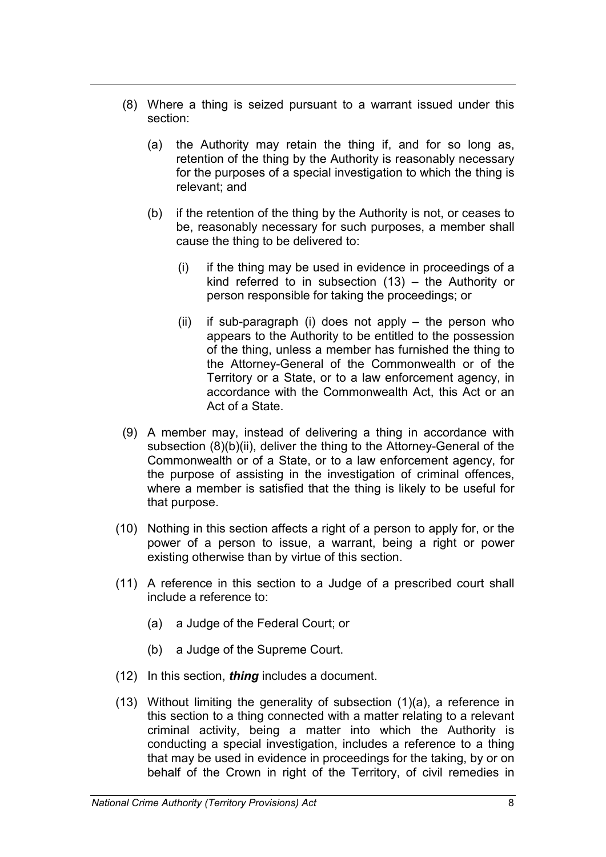- (8) Where a thing is seized pursuant to a warrant issued under this section:
	- (a) the Authority may retain the thing if, and for so long as, retention of the thing by the Authority is reasonably necessary for the purposes of a special investigation to which the thing is relevant; and
	- (b) if the retention of the thing by the Authority is not, or ceases to be, reasonably necessary for such purposes, a member shall cause the thing to be delivered to:
		- (i) if the thing may be used in evidence in proceedings of a kind referred to in subsection (13) – the Authority or person responsible for taking the proceedings; or
		- (ii) if sub-paragraph (i) does not apply the person who appears to the Authority to be entitled to the possession of the thing, unless a member has furnished the thing to the Attorney-General of the Commonwealth or of the Territory or a State, or to a law enforcement agency, in accordance with the Commonwealth Act, this Act or an Act of a State.
- (9) A member may, instead of delivering a thing in accordance with subsection (8)(b)(ii), deliver the thing to the Attorney-General of the Commonwealth or of a State, or to a law enforcement agency, for the purpose of assisting in the investigation of criminal offences, where a member is satisfied that the thing is likely to be useful for that purpose.
- (10) Nothing in this section affects a right of a person to apply for, or the power of a person to issue, a warrant, being a right or power existing otherwise than by virtue of this section.
- (11) A reference in this section to a Judge of a prescribed court shall include a reference to:
	- (a) a Judge of the Federal Court; or
	- (b) a Judge of the Supreme Court.
- (12) In this section, *thing* includes a document.
- $(13)$  Without limiting the generality of subsection  $(1)(a)$ , a reference in this section to a thing connected with a matter relating to a relevant criminal activity, being a matter into which the Authority is conducting a special investigation, includes a reference to a thing that may be used in evidence in proceedings for the taking, by or on behalf of the Crown in right of the Territory, of civil remedies in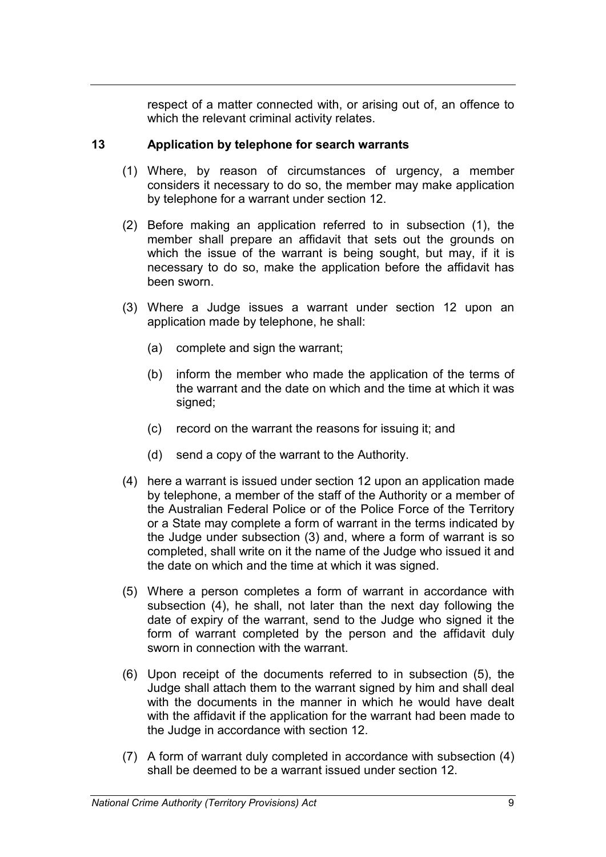respect of a matter connected with, or arising out of, an offence to which the relevant criminal activity relates.

# **13 Application by telephone for search warrants**

- (1) Where, by reason of circumstances of urgency, a member considers it necessary to do so, the member may make application by telephone for a warrant under section 12.
- (2) Before making an application referred to in subsection (1), the member shall prepare an affidavit that sets out the grounds on which the issue of the warrant is being sought, but may, if it is necessary to do so, make the application before the affidavit has been sworn.
- (3) Where a Judge issues a warrant under section 12 upon an application made by telephone, he shall:
	- (a) complete and sign the warrant;
	- (b) inform the member who made the application of the terms of the warrant and the date on which and the time at which it was signed;
	- (c) record on the warrant the reasons for issuing it; and
	- (d) send a copy of the warrant to the Authority.
- (4) here a warrant is issued under section 12 upon an application made by telephone, a member of the staff of the Authority or a member of the Australian Federal Police or of the Police Force of the Territory or a State may complete a form of warrant in the terms indicated by the Judge under subsection (3) and, where a form of warrant is so completed, shall write on it the name of the Judge who issued it and the date on which and the time at which it was signed.
- (5) Where a person completes a form of warrant in accordance with subsection (4), he shall, not later than the next day following the date of expiry of the warrant, send to the Judge who signed it the form of warrant completed by the person and the affidavit duly sworn in connection with the warrant.
- (6) Upon receipt of the documents referred to in subsection (5), the Judge shall attach them to the warrant signed by him and shall deal with the documents in the manner in which he would have dealt with the affidavit if the application for the warrant had been made to the Judge in accordance with section 12.
- (7) A form of warrant duly completed in accordance with subsection (4) shall be deemed to be a warrant issued under section 12.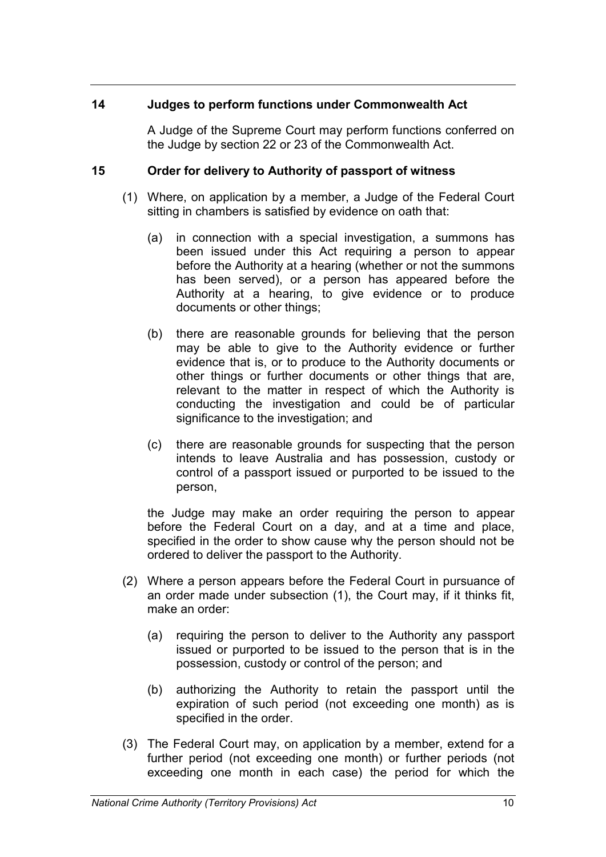### **14 Judges to perform functions under Commonwealth Act**

A Judge of the Supreme Court may perform functions conferred on the Judge by section 22 or 23 of the Commonwealth Act.

# **15 Order for delivery to Authority of passport of witness**

- (1) Where, on application by a member, a Judge of the Federal Court sitting in chambers is satisfied by evidence on oath that:
	- (a) in connection with a special investigation, a summons has been issued under this Act requiring a person to appear before the Authority at a hearing (whether or not the summons has been served), or a person has appeared before the Authority at a hearing, to give evidence or to produce documents or other things;
	- (b) there are reasonable grounds for believing that the person may be able to give to the Authority evidence or further evidence that is, or to produce to the Authority documents or other things or further documents or other things that are, relevant to the matter in respect of which the Authority is conducting the investigation and could be of particular significance to the investigation; and
	- (c) there are reasonable grounds for suspecting that the person intends to leave Australia and has possession, custody or control of a passport issued or purported to be issued to the person,

the Judge may make an order requiring the person to appear before the Federal Court on a day, and at a time and place, specified in the order to show cause why the person should not be ordered to deliver the passport to the Authority.

- (2) Where a person appears before the Federal Court in pursuance of an order made under subsection (1), the Court may, if it thinks fit, make an order:
	- (a) requiring the person to deliver to the Authority any passport issued or purported to be issued to the person that is in the possession, custody or control of the person; and
	- (b) authorizing the Authority to retain the passport until the expiration of such period (not exceeding one month) as is specified in the order.
- (3) The Federal Court may, on application by a member, extend for a further period (not exceeding one month) or further periods (not exceeding one month in each case) the period for which the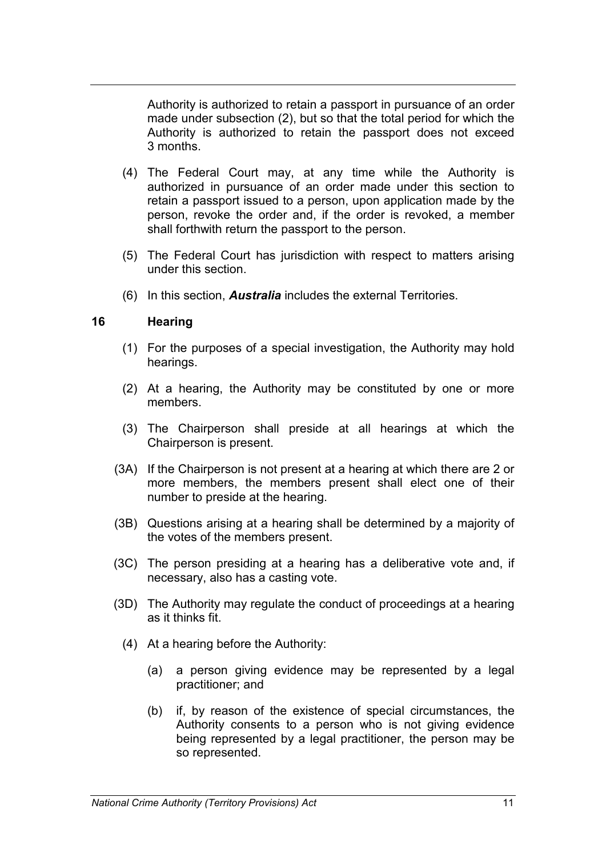Authority is authorized to retain a passport in pursuance of an order made under subsection (2), but so that the total period for which the Authority is authorized to retain the passport does not exceed 3 months.

- (4) The Federal Court may, at any time while the Authority is authorized in pursuance of an order made under this section to retain a passport issued to a person, upon application made by the person, revoke the order and, if the order is revoked, a member shall forthwith return the passport to the person.
- (5) The Federal Court has jurisdiction with respect to matters arising under this section.
- (6) In this section, *Australia* includes the external Territories.

### **16 Hearing**

- (1) For the purposes of a special investigation, the Authority may hold hearings.
- (2) At a hearing, the Authority may be constituted by one or more members.
- (3) The Chairperson shall preside at all hearings at which the Chairperson is present.
- (3A) If the Chairperson is not present at a hearing at which there are 2 or more members, the members present shall elect one of their number to preside at the hearing.
- (3B) Questions arising at a hearing shall be determined by a majority of the votes of the members present.
- (3C) The person presiding at a hearing has a deliberative vote and, if necessary, also has a casting vote.
- (3D) The Authority may regulate the conduct of proceedings at a hearing as it thinks fit.
	- (4) At a hearing before the Authority:
		- (a) a person giving evidence may be represented by a legal practitioner; and
		- (b) if, by reason of the existence of special circumstances, the Authority consents to a person who is not giving evidence being represented by a legal practitioner, the person may be so represented.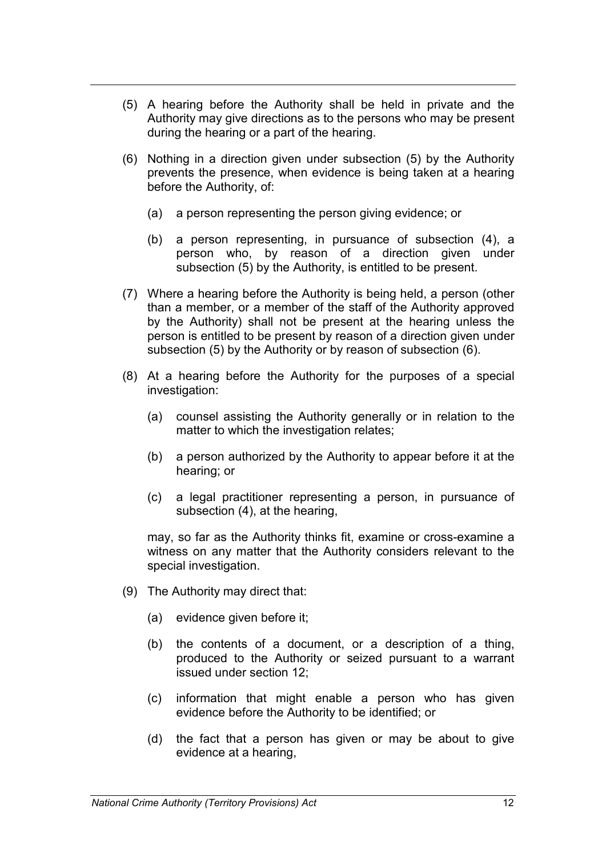- (5) A hearing before the Authority shall be held in private and the Authority may give directions as to the persons who may be present during the hearing or a part of the hearing.
- (6) Nothing in a direction given under subsection (5) by the Authority prevents the presence, when evidence is being taken at a hearing before the Authority, of:
	- (a) a person representing the person giving evidence; or
	- (b) a person representing, in pursuance of subsection (4), a person who, by reason of a direction given under subsection (5) by the Authority, is entitled to be present.
- (7) Where a hearing before the Authority is being held, a person (other than a member, or a member of the staff of the Authority approved by the Authority) shall not be present at the hearing unless the person is entitled to be present by reason of a direction given under subsection (5) by the Authority or by reason of subsection (6).
- (8) At a hearing before the Authority for the purposes of a special investigation:
	- (a) counsel assisting the Authority generally or in relation to the matter to which the investigation relates;
	- (b) a person authorized by the Authority to appear before it at the hearing; or
	- (c) a legal practitioner representing a person, in pursuance of subsection (4), at the hearing,

may, so far as the Authority thinks fit, examine or cross-examine a witness on any matter that the Authority considers relevant to the special investigation.

- (9) The Authority may direct that:
	- (a) evidence given before it;
	- (b) the contents of a document, or a description of a thing, produced to the Authority or seized pursuant to a warrant issued under section 12;
	- (c) information that might enable a person who has given evidence before the Authority to be identified; or
	- (d) the fact that a person has given or may be about to give evidence at a hearing,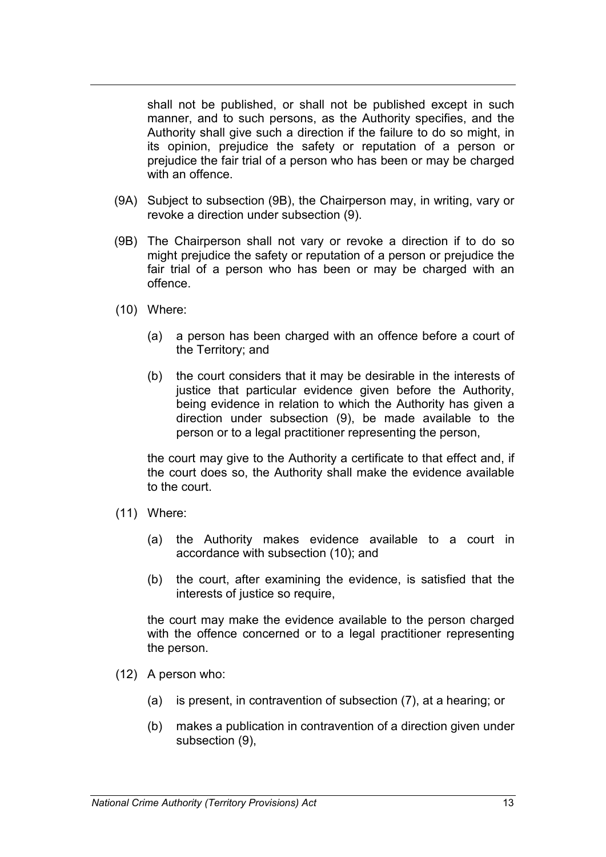shall not be published, or shall not be published except in such manner, and to such persons, as the Authority specifies, and the Authority shall give such a direction if the failure to do so might, in its opinion, prejudice the safety or reputation of a person or prejudice the fair trial of a person who has been or may be charged with an offence

- (9A) Subject to subsection (9B), the Chairperson may, in writing, vary or revoke a direction under subsection (9).
- (9B) The Chairperson shall not vary or revoke a direction if to do so might prejudice the safety or reputation of a person or prejudice the fair trial of a person who has been or may be charged with an offence.
- (10) Where:
	- (a) a person has been charged with an offence before a court of the Territory; and
	- (b) the court considers that it may be desirable in the interests of justice that particular evidence given before the Authority, being evidence in relation to which the Authority has given a direction under subsection (9), be made available to the person or to a legal practitioner representing the person,

the court may give to the Authority a certificate to that effect and, if the court does so, the Authority shall make the evidence available to the court.

- (11) Where:
	- (a) the Authority makes evidence available to a court in accordance with subsection (10); and
	- (b) the court, after examining the evidence, is satisfied that the interests of justice so require,

the court may make the evidence available to the person charged with the offence concerned or to a legal practitioner representing the person.

- (12) A person who:
	- (a) is present, in contravention of subsection (7), at a hearing; or
	- (b) makes a publication in contravention of a direction given under subsection (9),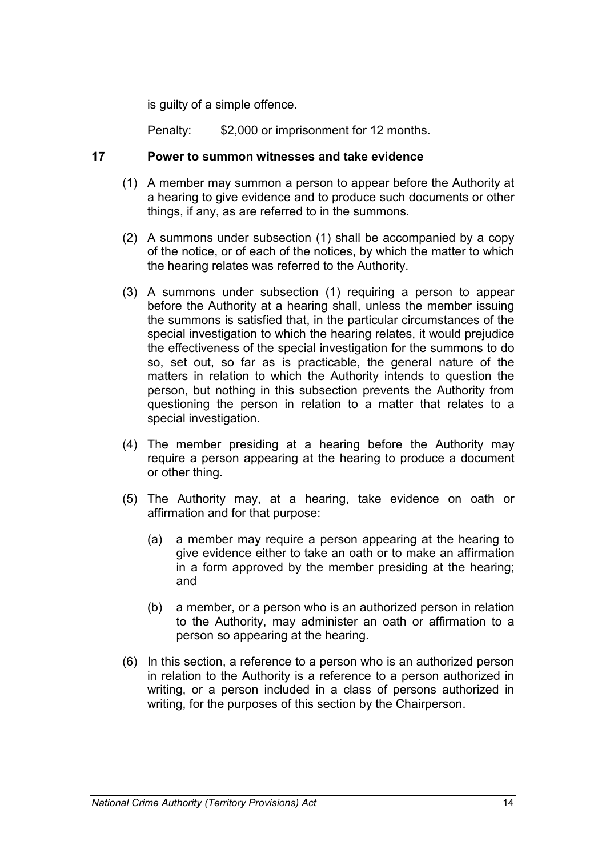is guilty of a simple offence.

Penalty: \$2,000 or imprisonment for 12 months.

### **17 Power to summon witnesses and take evidence**

- (1) A member may summon a person to appear before the Authority at a hearing to give evidence and to produce such documents or other things, if any, as are referred to in the summons.
- (2) A summons under subsection (1) shall be accompanied by a copy of the notice, or of each of the notices, by which the matter to which the hearing relates was referred to the Authority.
- (3) A summons under subsection (1) requiring a person to appear before the Authority at a hearing shall, unless the member issuing the summons is satisfied that, in the particular circumstances of the special investigation to which the hearing relates, it would prejudice the effectiveness of the special investigation for the summons to do so, set out, so far as is practicable, the general nature of the matters in relation to which the Authority intends to question the person, but nothing in this subsection prevents the Authority from questioning the person in relation to a matter that relates to a special investigation.
- (4) The member presiding at a hearing before the Authority may require a person appearing at the hearing to produce a document or other thing.
- (5) The Authority may, at a hearing, take evidence on oath or affirmation and for that purpose:
	- (a) a member may require a person appearing at the hearing to give evidence either to take an oath or to make an affirmation in a form approved by the member presiding at the hearing; and
	- (b) a member, or a person who is an authorized person in relation to the Authority, may administer an oath or affirmation to a person so appearing at the hearing.
- (6) In this section, a reference to a person who is an authorized person in relation to the Authority is a reference to a person authorized in writing, or a person included in a class of persons authorized in writing, for the purposes of this section by the Chairperson.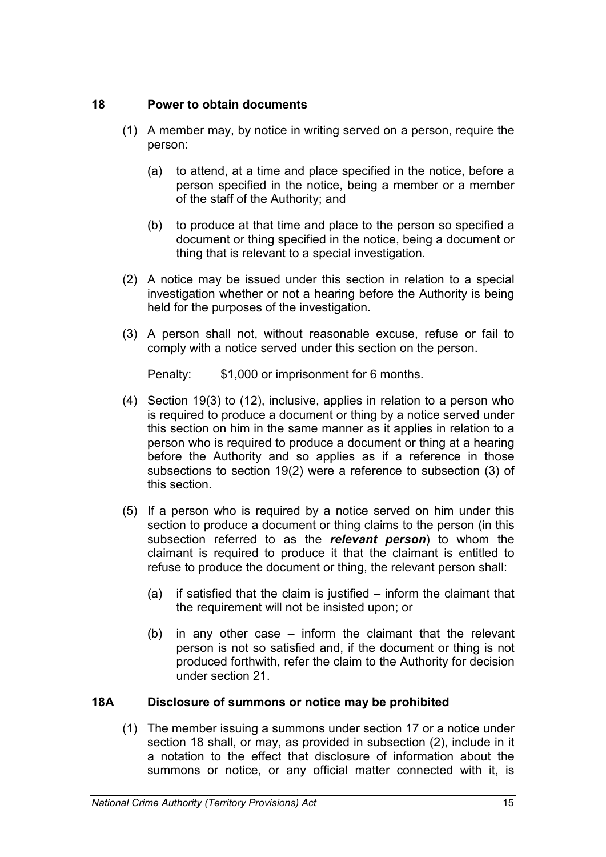# **18 Power to obtain documents**

- (1) A member may, by notice in writing served on a person, require the person:
	- (a) to attend, at a time and place specified in the notice, before a person specified in the notice, being a member or a member of the staff of the Authority; and
	- (b) to produce at that time and place to the person so specified a document or thing specified in the notice, being a document or thing that is relevant to a special investigation.
- (2) A notice may be issued under this section in relation to a special investigation whether or not a hearing before the Authority is being held for the purposes of the investigation.
- (3) A person shall not, without reasonable excuse, refuse or fail to comply with a notice served under this section on the person.

Penalty: \$1,000 or imprisonment for 6 months.

- (4) Section 19(3) to (12), inclusive, applies in relation to a person who is required to produce a document or thing by a notice served under this section on him in the same manner as it applies in relation to a person who is required to produce a document or thing at a hearing before the Authority and so applies as if a reference in those subsections to section 19(2) were a reference to subsection (3) of this section.
- (5) If a person who is required by a notice served on him under this section to produce a document or thing claims to the person (in this subsection referred to as the *relevant person*) to whom the claimant is required to produce it that the claimant is entitled to refuse to produce the document or thing, the relevant person shall:
	- (a) if satisfied that the claim is justified inform the claimant that the requirement will not be insisted upon; or
	- (b) in any other case inform the claimant that the relevant person is not so satisfied and, if the document or thing is not produced forthwith, refer the claim to the Authority for decision under section 21.

### **18A Disclosure of summons or notice may be prohibited**

(1) The member issuing a summons under section 17 or a notice under section 18 shall, or may, as provided in subsection (2), include in it a notation to the effect that disclosure of information about the summons or notice, or any official matter connected with it, is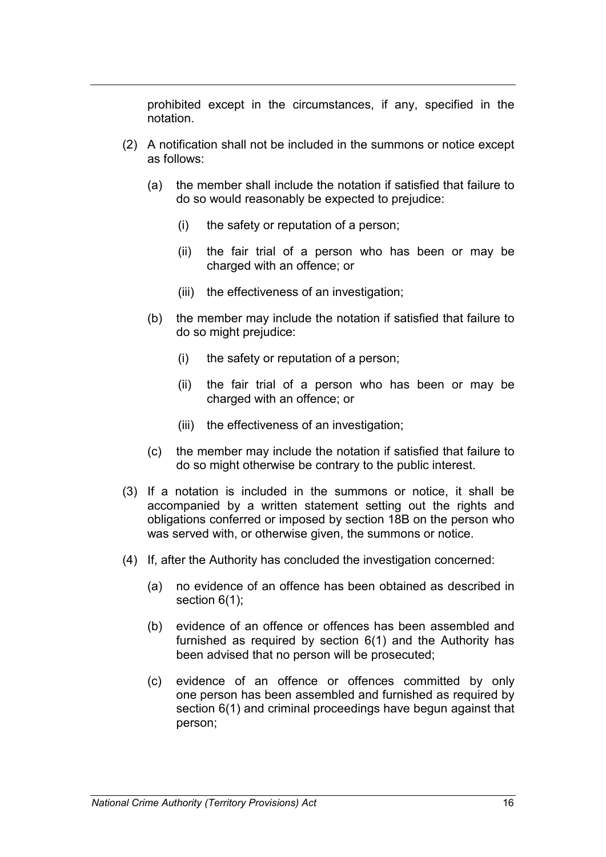prohibited except in the circumstances, if any, specified in the notation.

- (2) A notification shall not be included in the summons or notice except as follows:
	- (a) the member shall include the notation if satisfied that failure to do so would reasonably be expected to prejudice:
		- (i) the safety or reputation of a person;
		- (ii) the fair trial of a person who has been or may be charged with an offence; or
		- (iii) the effectiveness of an investigation;
	- (b) the member may include the notation if satisfied that failure to do so might prejudice:
		- (i) the safety or reputation of a person;
		- (ii) the fair trial of a person who has been or may be charged with an offence; or
		- (iii) the effectiveness of an investigation;
	- (c) the member may include the notation if satisfied that failure to do so might otherwise be contrary to the public interest.
- (3) If a notation is included in the summons or notice, it shall be accompanied by a written statement setting out the rights and obligations conferred or imposed by section 18B on the person who was served with, or otherwise given, the summons or notice.
- (4) If, after the Authority has concluded the investigation concerned:
	- (a) no evidence of an offence has been obtained as described in section 6(1);
	- (b) evidence of an offence or offences has been assembled and furnished as required by section 6(1) and the Authority has been advised that no person will be prosecuted;
	- (c) evidence of an offence or offences committed by only one person has been assembled and furnished as required by section 6(1) and criminal proceedings have begun against that person;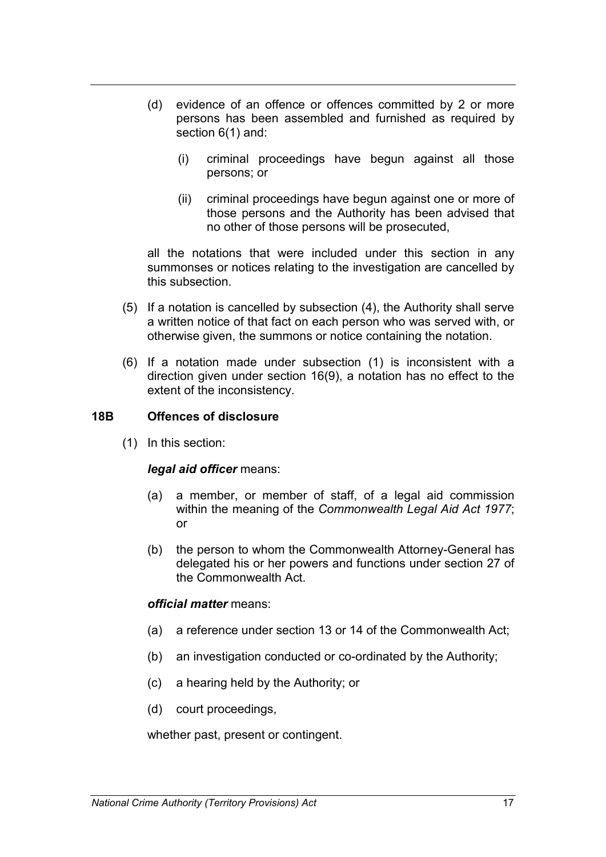- (d) evidence of an offence or offences committed by 2 or more persons has been assembled and furnished as required by section 6(1) and:
	- (i) criminal proceedings have begun against all those persons; or
	- (ii) criminal proceedings have begun against one or more of those persons and the Authority has been advised that no other of those persons will be prosecuted,

all the notations that were included under this section in any summonses or notices relating to the investigation are cancelled by this subsection.

- (5) If a notation is cancelled by subsection (4), the Authority shall serve a written notice of that fact on each person who was served with, or otherwise given, the summons or notice containing the notation.
- (6) If a notation made under subsection (1) is inconsistent with a direction given under section 16(9), a notation has no effect to the extent of the inconsistency.

### **18B Offences of disclosure**

(1) In this section:

#### *legal aid officer* means:

- (a) a member, or member of staff, of a legal aid commission within the meaning of the *Commonwealth Legal Aid Act 1977*; or
- (b) the person to whom the Commonwealth Attorney-General has delegated his or her powers and functions under section 27 of the Commonwealth Act.

#### *official matter* means:

- (a) a reference under section 13 or 14 of the Commonwealth Act;
- (b) an investigation conducted or co-ordinated by the Authority;
- (c) a hearing held by the Authority; or
- (d) court proceedings,

whether past, present or contingent.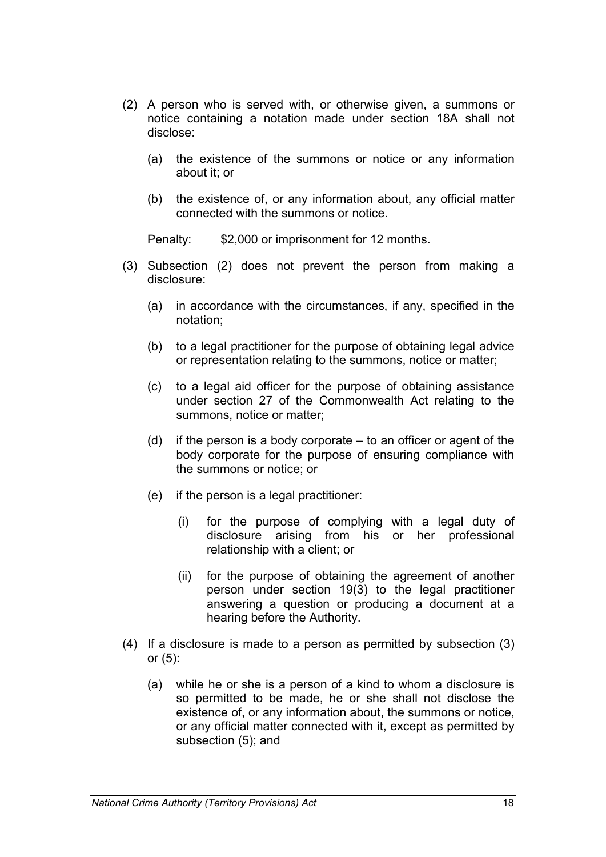- (2) A person who is served with, or otherwise given, a summons or notice containing a notation made under section 18A shall not disclose:
	- (a) the existence of the summons or notice or any information about it; or
	- (b) the existence of, or any information about, any official matter connected with the summons or notice.

Penalty: \$2,000 or imprisonment for 12 months.

- (3) Subsection (2) does not prevent the person from making a disclosure:
	- (a) in accordance with the circumstances, if any, specified in the notation;
	- (b) to a legal practitioner for the purpose of obtaining legal advice or representation relating to the summons, notice or matter;
	- (c) to a legal aid officer for the purpose of obtaining assistance under section 27 of the Commonwealth Act relating to the summons, notice or matter;
	- (d) if the person is a body corporate  $-$  to an officer or agent of the body corporate for the purpose of ensuring compliance with the summons or notice; or
	- (e) if the person is a legal practitioner:
		- (i) for the purpose of complying with a legal duty of disclosure arising from his or her professional relationship with a client; or
		- (ii) for the purpose of obtaining the agreement of another person under section 19(3) to the legal practitioner answering a question or producing a document at a hearing before the Authority.
- (4) If a disclosure is made to a person as permitted by subsection (3) or (5):
	- (a) while he or she is a person of a kind to whom a disclosure is so permitted to be made, he or she shall not disclose the existence of, or any information about, the summons or notice, or any official matter connected with it, except as permitted by subsection (5); and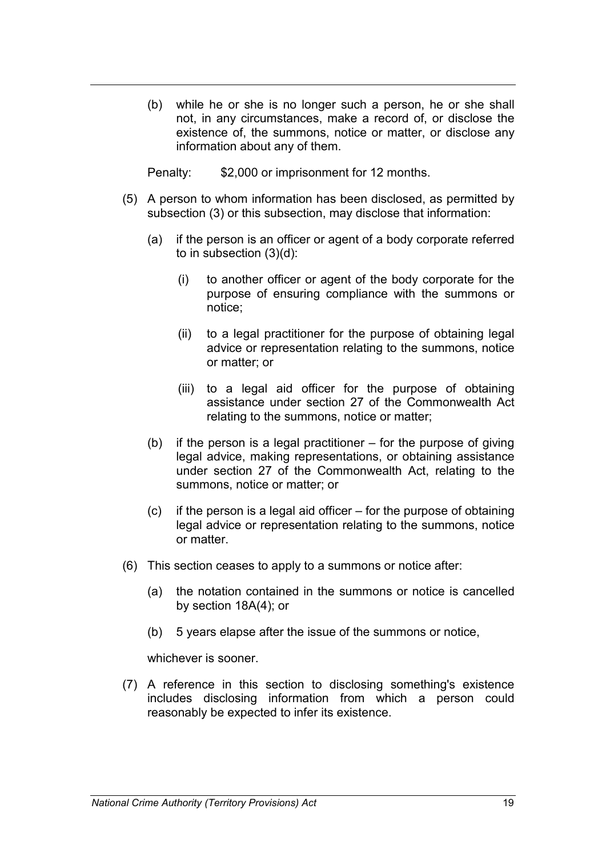(b) while he or she is no longer such a person, he or she shall not, in any circumstances, make a record of, or disclose the existence of, the summons, notice or matter, or disclose any information about any of them.

Penalty: \$2,000 or imprisonment for 12 months.

- (5) A person to whom information has been disclosed, as permitted by subsection (3) or this subsection, may disclose that information:
	- (a) if the person is an officer or agent of a body corporate referred to in subsection (3)(d):
		- (i) to another officer or agent of the body corporate for the purpose of ensuring compliance with the summons or notice;
		- (ii) to a legal practitioner for the purpose of obtaining legal advice or representation relating to the summons, notice or matter; or
		- (iii) to a legal aid officer for the purpose of obtaining assistance under section 27 of the Commonwealth Act relating to the summons, notice or matter;
	- (b) if the person is a legal practitioner for the purpose of giving legal advice, making representations, or obtaining assistance under section 27 of the Commonwealth Act, relating to the summons, notice or matter; or
	- $(c)$  if the person is a legal aid officer for the purpose of obtaining legal advice or representation relating to the summons, notice or matter.
- (6) This section ceases to apply to a summons or notice after:
	- (a) the notation contained in the summons or notice is cancelled by section 18A(4); or
	- (b) 5 years elapse after the issue of the summons or notice,

whichever is sooner.

(7) A reference in this section to disclosing something's existence includes disclosing information from which a person could reasonably be expected to infer its existence.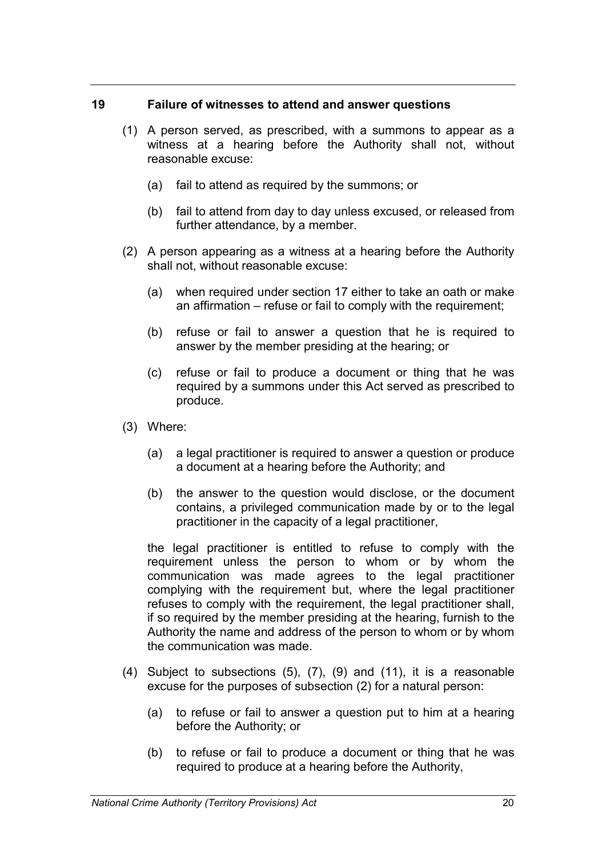### **19 Failure of witnesses to attend and answer questions**

- (1) A person served, as prescribed, with a summons to appear as a witness at a hearing before the Authority shall not, without reasonable excuse:
	- (a) fail to attend as required by the summons; or
	- (b) fail to attend from day to day unless excused, or released from further attendance, by a member.
- (2) A person appearing as a witness at a hearing before the Authority shall not, without reasonable excuse:
	- (a) when required under section 17 either to take an oath or make an affirmation – refuse or fail to comply with the requirement;
	- (b) refuse or fail to answer a question that he is required to answer by the member presiding at the hearing; or
	- (c) refuse or fail to produce a document or thing that he was required by a summons under this Act served as prescribed to produce.
- (3) Where:
	- (a) a legal practitioner is required to answer a question or produce a document at a hearing before the Authority; and
	- (b) the answer to the question would disclose, or the document contains, a privileged communication made by or to the legal practitioner in the capacity of a legal practitioner,

the legal practitioner is entitled to refuse to comply with the requirement unless the person to whom or by whom the communication was made agrees to the legal practitioner complying with the requirement but, where the legal practitioner refuses to comply with the requirement, the legal practitioner shall, if so required by the member presiding at the hearing, furnish to the Authority the name and address of the person to whom or by whom the communication was made.

- (4) Subject to subsections (5), (7), (9) and (11), it is a reasonable excuse for the purposes of subsection (2) for a natural person:
	- (a) to refuse or fail to answer a question put to him at a hearing before the Authority; or
	- (b) to refuse or fail to produce a document or thing that he was required to produce at a hearing before the Authority,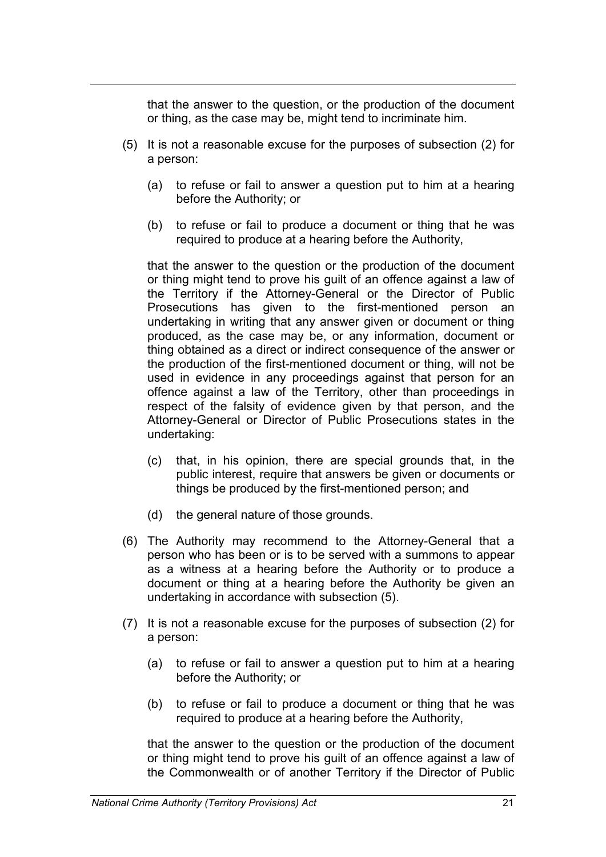that the answer to the question, or the production of the document or thing, as the case may be, might tend to incriminate him.

- (5) It is not a reasonable excuse for the purposes of subsection (2) for a person:
	- (a) to refuse or fail to answer a question put to him at a hearing before the Authority; or
	- (b) to refuse or fail to produce a document or thing that he was required to produce at a hearing before the Authority,

that the answer to the question or the production of the document or thing might tend to prove his guilt of an offence against a law of the Territory if the Attorney-General or the Director of Public Prosecutions has given to the first-mentioned person an undertaking in writing that any answer given or document or thing produced, as the case may be, or any information, document or thing obtained as a direct or indirect consequence of the answer or the production of the first-mentioned document or thing, will not be used in evidence in any proceedings against that person for an offence against a law of the Territory, other than proceedings in respect of the falsity of evidence given by that person, and the Attorney-General or Director of Public Prosecutions states in the undertaking:

- (c) that, in his opinion, there are special grounds that, in the public interest, require that answers be given or documents or things be produced by the first-mentioned person; and
- (d) the general nature of those grounds.
- (6) The Authority may recommend to the Attorney-General that a person who has been or is to be served with a summons to appear as a witness at a hearing before the Authority or to produce a document or thing at a hearing before the Authority be given an undertaking in accordance with subsection (5).
- (7) It is not a reasonable excuse for the purposes of subsection (2) for a person:
	- (a) to refuse or fail to answer a question put to him at a hearing before the Authority; or
	- (b) to refuse or fail to produce a document or thing that he was required to produce at a hearing before the Authority,

that the answer to the question or the production of the document or thing might tend to prove his guilt of an offence against a law of the Commonwealth or of another Territory if the Director of Public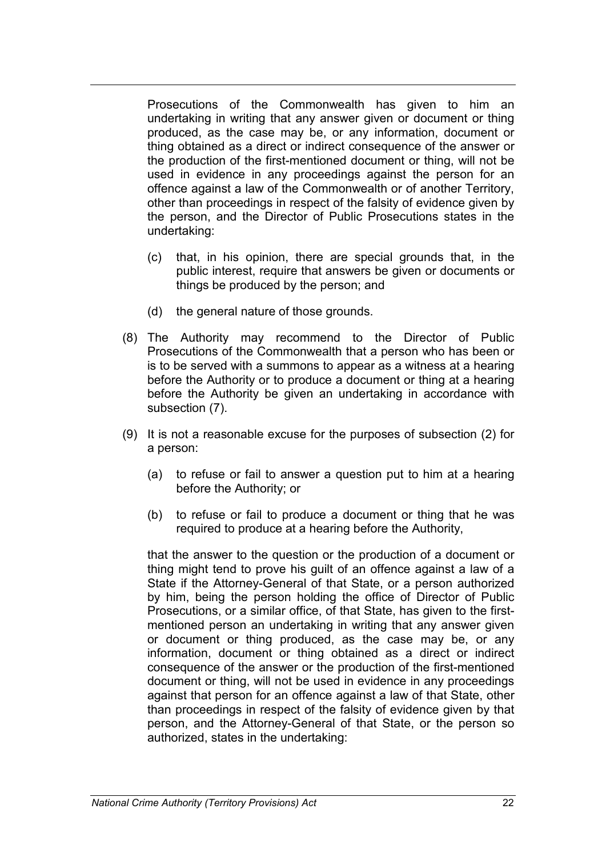Prosecutions of the Commonwealth has given to him an undertaking in writing that any answer given or document or thing produced, as the case may be, or any information, document or thing obtained as a direct or indirect consequence of the answer or the production of the first-mentioned document or thing, will not be used in evidence in any proceedings against the person for an offence against a law of the Commonwealth or of another Territory, other than proceedings in respect of the falsity of evidence given by the person, and the Director of Public Prosecutions states in the undertaking:

- (c) that, in his opinion, there are special grounds that, in the public interest, require that answers be given or documents or things be produced by the person; and
- (d) the general nature of those grounds.
- (8) The Authority may recommend to the Director of Public Prosecutions of the Commonwealth that a person who has been or is to be served with a summons to appear as a witness at a hearing before the Authority or to produce a document or thing at a hearing before the Authority be given an undertaking in accordance with subsection (7).
- (9) It is not a reasonable excuse for the purposes of subsection (2) for a person:
	- (a) to refuse or fail to answer a question put to him at a hearing before the Authority; or
	- (b) to refuse or fail to produce a document or thing that he was required to produce at a hearing before the Authority,

that the answer to the question or the production of a document or thing might tend to prove his guilt of an offence against a law of a State if the Attorney-General of that State, or a person authorized by him, being the person holding the office of Director of Public Prosecutions, or a similar office, of that State, has given to the firstmentioned person an undertaking in writing that any answer given or document or thing produced, as the case may be, or any information, document or thing obtained as a direct or indirect consequence of the answer or the production of the first-mentioned document or thing, will not be used in evidence in any proceedings against that person for an offence against a law of that State, other than proceedings in respect of the falsity of evidence given by that person, and the Attorney-General of that State, or the person so authorized, states in the undertaking: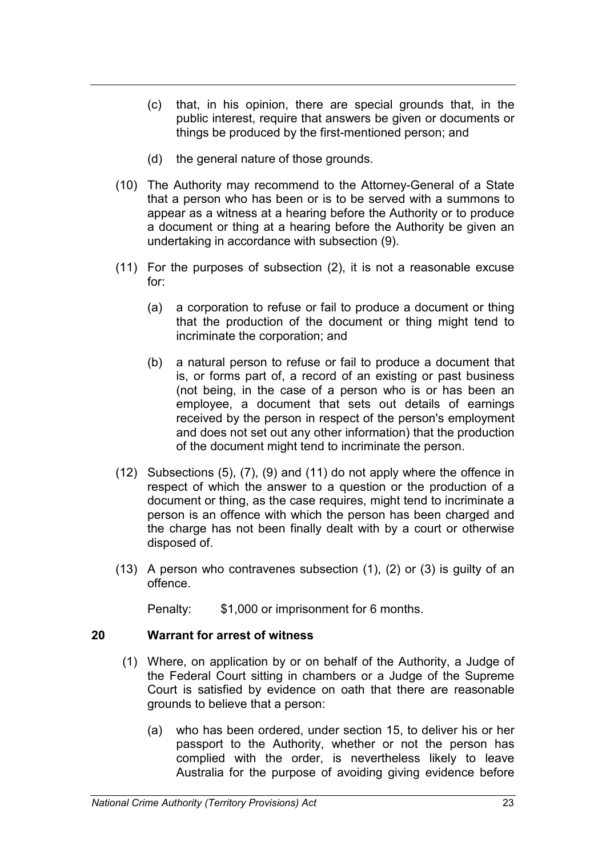- (c) that, in his opinion, there are special grounds that, in the public interest, require that answers be given or documents or things be produced by the first-mentioned person; and
- (d) the general nature of those grounds.
- (10) The Authority may recommend to the Attorney-General of a State that a person who has been or is to be served with a summons to appear as a witness at a hearing before the Authority or to produce a document or thing at a hearing before the Authority be given an undertaking in accordance with subsection (9).
- (11) For the purposes of subsection (2), it is not a reasonable excuse for:
	- (a) a corporation to refuse or fail to produce a document or thing that the production of the document or thing might tend to incriminate the corporation; and
	- (b) a natural person to refuse or fail to produce a document that is, or forms part of, a record of an existing or past business (not being, in the case of a person who is or has been an employee, a document that sets out details of earnings received by the person in respect of the person's employment and does not set out any other information) that the production of the document might tend to incriminate the person.
- (12) Subsections (5), (7), (9) and (11) do not apply where the offence in respect of which the answer to a question or the production of a document or thing, as the case requires, might tend to incriminate a person is an offence with which the person has been charged and the charge has not been finally dealt with by a court or otherwise disposed of.
- (13) A person who contravenes subsection (1), (2) or (3) is guilty of an offence.

Penalty: \$1,000 or imprisonment for 6 months.

### **20 Warrant for arrest of witness**

- (1) Where, on application by or on behalf of the Authority, a Judge of the Federal Court sitting in chambers or a Judge of the Supreme Court is satisfied by evidence on oath that there are reasonable grounds to believe that a person:
	- (a) who has been ordered, under section 15, to deliver his or her passport to the Authority, whether or not the person has complied with the order, is nevertheless likely to leave Australia for the purpose of avoiding giving evidence before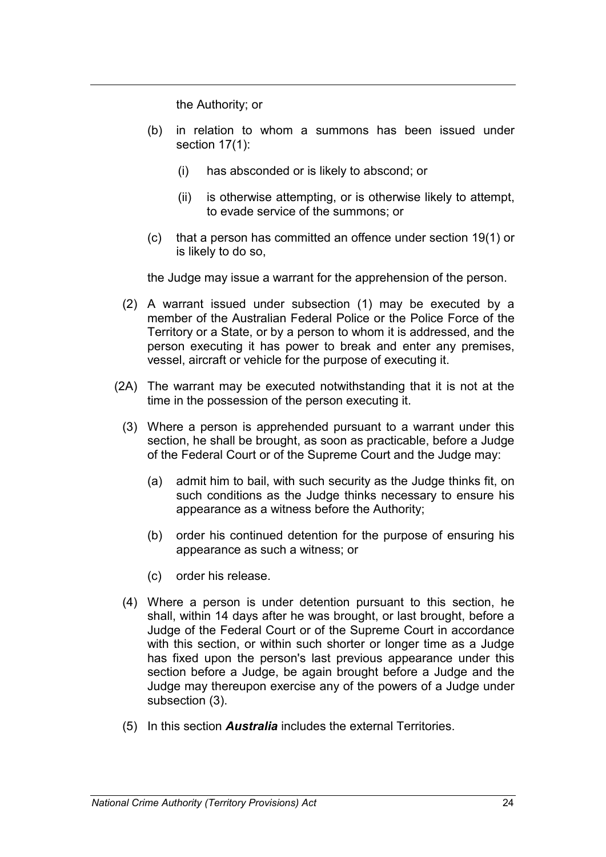the Authority; or

- (b) in relation to whom a summons has been issued under section 17(1):
	- (i) has absconded or is likely to abscond; or
	- (ii) is otherwise attempting, or is otherwise likely to attempt, to evade service of the summons; or
- (c) that a person has committed an offence under section 19(1) or is likely to do so,

the Judge may issue a warrant for the apprehension of the person.

- (2) A warrant issued under subsection (1) may be executed by a member of the Australian Federal Police or the Police Force of the Territory or a State, or by a person to whom it is addressed, and the person executing it has power to break and enter any premises, vessel, aircraft or vehicle for the purpose of executing it.
- (2A) The warrant may be executed notwithstanding that it is not at the time in the possession of the person executing it.
	- (3) Where a person is apprehended pursuant to a warrant under this section, he shall be brought, as soon as practicable, before a Judge of the Federal Court or of the Supreme Court and the Judge may:
		- (a) admit him to bail, with such security as the Judge thinks fit, on such conditions as the Judge thinks necessary to ensure his appearance as a witness before the Authority;
		- (b) order his continued detention for the purpose of ensuring his appearance as such a witness; or
		- (c) order his release.
	- (4) Where a person is under detention pursuant to this section, he shall, within 14 days after he was brought, or last brought, before a Judge of the Federal Court or of the Supreme Court in accordance with this section, or within such shorter or longer time as a Judge has fixed upon the person's last previous appearance under this section before a Judge, be again brought before a Judge and the Judge may thereupon exercise any of the powers of a Judge under subsection (3).
	- (5) In this section *Australia* includes the external Territories.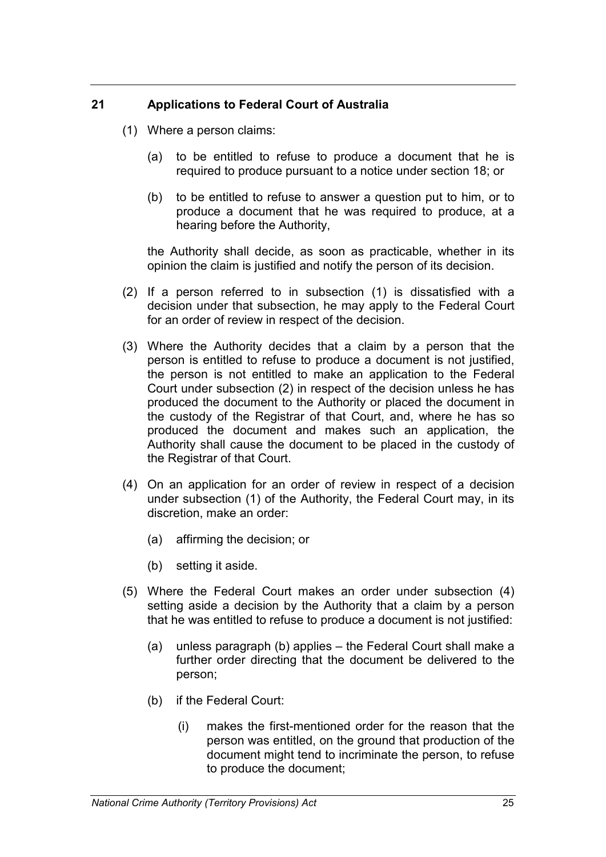# **21 Applications to Federal Court of Australia**

- (1) Where a person claims:
	- (a) to be entitled to refuse to produce a document that he is required to produce pursuant to a notice under section 18; or
	- (b) to be entitled to refuse to answer a question put to him, or to produce a document that he was required to produce, at a hearing before the Authority,

the Authority shall decide, as soon as practicable, whether in its opinion the claim is justified and notify the person of its decision.

- (2) If a person referred to in subsection (1) is dissatisfied with a decision under that subsection, he may apply to the Federal Court for an order of review in respect of the decision.
- (3) Where the Authority decides that a claim by a person that the person is entitled to refuse to produce a document is not justified, the person is not entitled to make an application to the Federal Court under subsection (2) in respect of the decision unless he has produced the document to the Authority or placed the document in the custody of the Registrar of that Court, and, where he has so produced the document and makes such an application, the Authority shall cause the document to be placed in the custody of the Registrar of that Court.
- (4) On an application for an order of review in respect of a decision under subsection (1) of the Authority, the Federal Court may, in its discretion, make an order:
	- (a) affirming the decision; or
	- (b) setting it aside.
- (5) Where the Federal Court makes an order under subsection (4) setting aside a decision by the Authority that a claim by a person that he was entitled to refuse to produce a document is not justified:
	- (a) unless paragraph (b) applies the Federal Court shall make a further order directing that the document be delivered to the person;
	- (b) if the Federal Court:
		- (i) makes the first-mentioned order for the reason that the person was entitled, on the ground that production of the document might tend to incriminate the person, to refuse to produce the document;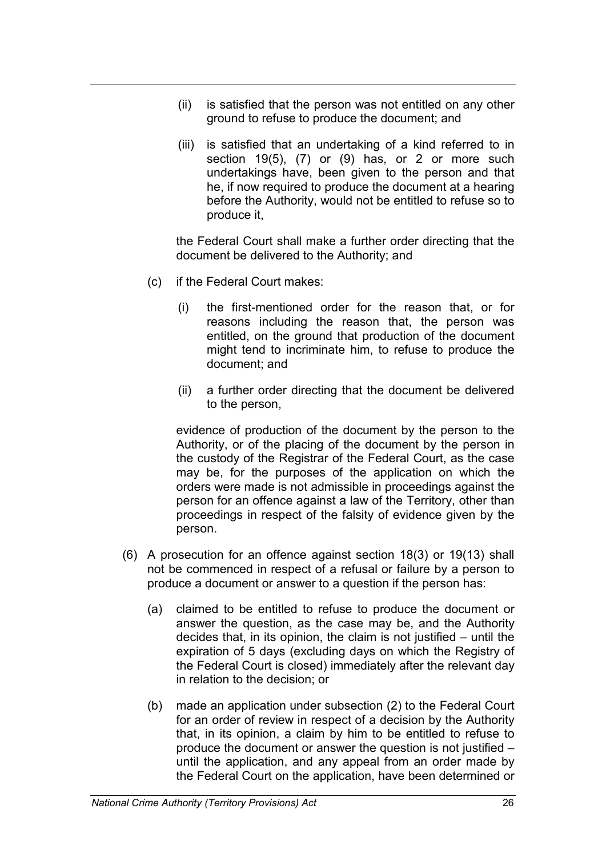- (ii) is satisfied that the person was not entitled on any other ground to refuse to produce the document; and
- (iii) is satisfied that an undertaking of a kind referred to in section 19(5), (7) or (9) has, or 2 or more such undertakings have, been given to the person and that he, if now required to produce the document at a hearing before the Authority, would not be entitled to refuse so to produce it,

the Federal Court shall make a further order directing that the document be delivered to the Authority; and

- (c) if the Federal Court makes:
	- (i) the first-mentioned order for the reason that, or for reasons including the reason that, the person was entitled, on the ground that production of the document might tend to incriminate him, to refuse to produce the document; and
	- (ii) a further order directing that the document be delivered to the person,

evidence of production of the document by the person to the Authority, or of the placing of the document by the person in the custody of the Registrar of the Federal Court, as the case may be, for the purposes of the application on which the orders were made is not admissible in proceedings against the person for an offence against a law of the Territory, other than proceedings in respect of the falsity of evidence given by the person.

- (6) A prosecution for an offence against section 18(3) or 19(13) shall not be commenced in respect of a refusal or failure by a person to produce a document or answer to a question if the person has:
	- (a) claimed to be entitled to refuse to produce the document or answer the question, as the case may be, and the Authority decides that, in its opinion, the claim is not justified – until the expiration of 5 days (excluding days on which the Registry of the Federal Court is closed) immediately after the relevant day in relation to the decision; or
	- (b) made an application under subsection (2) to the Federal Court for an order of review in respect of a decision by the Authority that, in its opinion, a claim by him to be entitled to refuse to produce the document or answer the question is not justified – until the application, and any appeal from an order made by the Federal Court on the application, have been determined or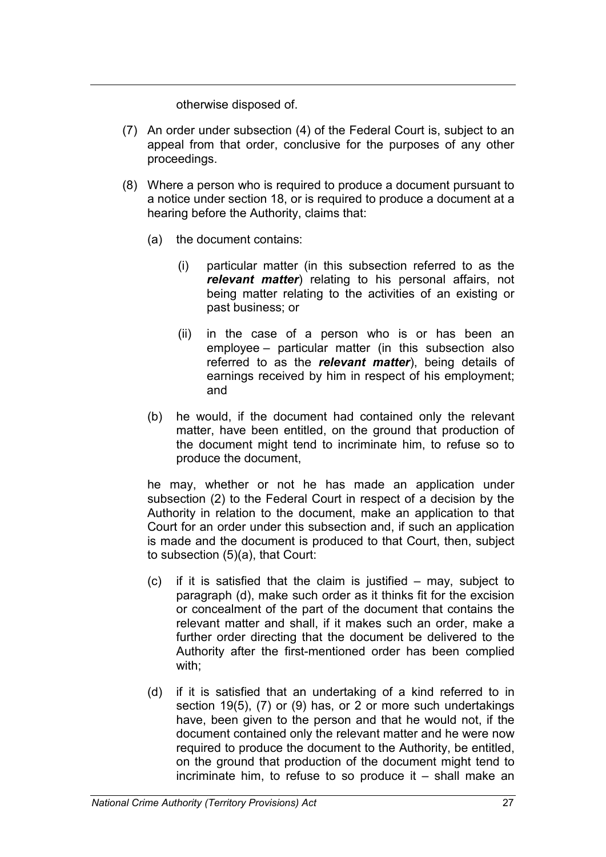otherwise disposed of.

- (7) An order under subsection (4) of the Federal Court is, subject to an appeal from that order, conclusive for the purposes of any other proceedings.
- (8) Where a person who is required to produce a document pursuant to a notice under section 18, or is required to produce a document at a hearing before the Authority, claims that:
	- (a) the document contains:
		- (i) particular matter (in this subsection referred to as the *relevant matter*) relating to his personal affairs, not being matter relating to the activities of an existing or past business; or
		- (ii) in the case of a person who is or has been an employee – particular matter (in this subsection also referred to as the *relevant matter*), being details of earnings received by him in respect of his employment; and
	- (b) he would, if the document had contained only the relevant matter, have been entitled, on the ground that production of the document might tend to incriminate him, to refuse so to produce the document,

he may, whether or not he has made an application under subsection (2) to the Federal Court in respect of a decision by the Authority in relation to the document, make an application to that Court for an order under this subsection and, if such an application is made and the document is produced to that Court, then, subject to subsection (5)(a), that Court:

- (c) if it is satisfied that the claim is justified may, subject to paragraph (d), make such order as it thinks fit for the excision or concealment of the part of the document that contains the relevant matter and shall, if it makes such an order, make a further order directing that the document be delivered to the Authority after the first-mentioned order has been complied with;
- (d) if it is satisfied that an undertaking of a kind referred to in section 19(5), (7) or (9) has, or 2 or more such undertakings have, been given to the person and that he would not, if the document contained only the relevant matter and he were now required to produce the document to the Authority, be entitled, on the ground that production of the document might tend to incriminate him, to refuse to so produce it  $-$  shall make an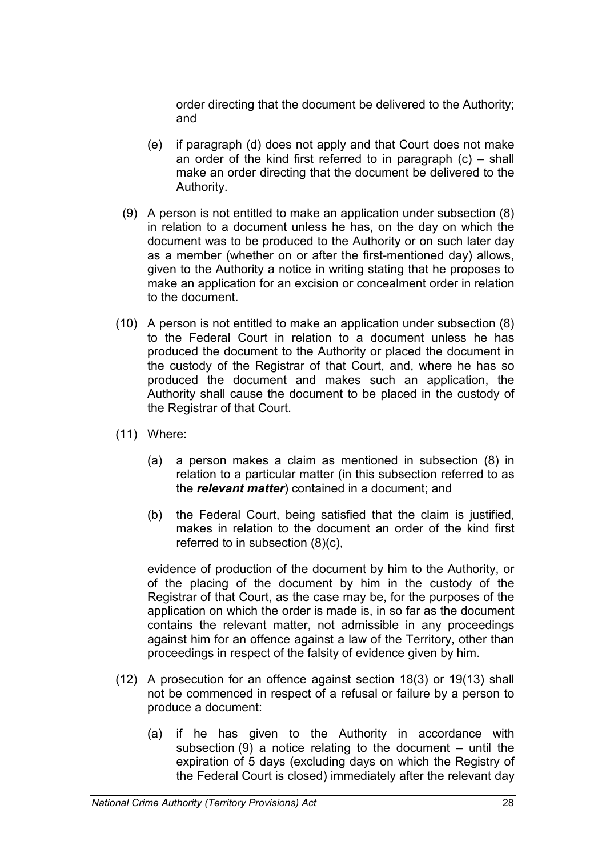order directing that the document be delivered to the Authority; and

- (e) if paragraph (d) does not apply and that Court does not make an order of the kind first referred to in paragraph  $(c)$  – shall make an order directing that the document be delivered to the Authority.
- (9) A person is not entitled to make an application under subsection (8) in relation to a document unless he has, on the day on which the document was to be produced to the Authority or on such later day as a member (whether on or after the first-mentioned day) allows, given to the Authority a notice in writing stating that he proposes to make an application for an excision or concealment order in relation to the document.
- (10) A person is not entitled to make an application under subsection (8) to the Federal Court in relation to a document unless he has produced the document to the Authority or placed the document in the custody of the Registrar of that Court, and, where he has so produced the document and makes such an application, the Authority shall cause the document to be placed in the custody of the Registrar of that Court.
- (11) Where:
	- (a) a person makes a claim as mentioned in subsection (8) in relation to a particular matter (in this subsection referred to as the *relevant matter*) contained in a document; and
	- (b) the Federal Court, being satisfied that the claim is justified, makes in relation to the document an order of the kind first referred to in subsection (8)(c),

evidence of production of the document by him to the Authority, or of the placing of the document by him in the custody of the Registrar of that Court, as the case may be, for the purposes of the application on which the order is made is, in so far as the document contains the relevant matter, not admissible in any proceedings against him for an offence against a law of the Territory, other than proceedings in respect of the falsity of evidence given by him.

- (12) A prosecution for an offence against section 18(3) or 19(13) shall not be commenced in respect of a refusal or failure by a person to produce a document:
	- (a) if he has given to the Authority in accordance with subsection  $(9)$  a notice relating to the document – until the expiration of 5 days (excluding days on which the Registry of the Federal Court is closed) immediately after the relevant day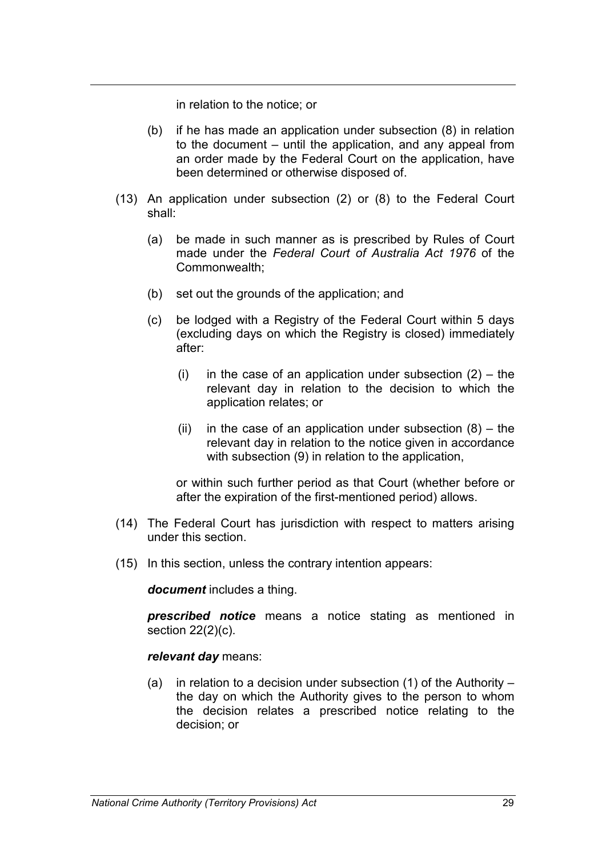in relation to the notice; or

- (b) if he has made an application under subsection (8) in relation to the document – until the application, and any appeal from an order made by the Federal Court on the application, have been determined or otherwise disposed of.
- (13) An application under subsection (2) or (8) to the Federal Court shall:
	- (a) be made in such manner as is prescribed by Rules of Court made under the *Federal Court of Australia Act 1976* of the Commonwealth;
	- (b) set out the grounds of the application; and
	- (c) be lodged with a Registry of the Federal Court within 5 days (excluding days on which the Registry is closed) immediately after:
		- (i) in the case of an application under subsection  $(2)$  the relevant day in relation to the decision to which the application relates; or
		- (ii) in the case of an application under subsection  $(8)$  the relevant day in relation to the notice given in accordance with subsection (9) in relation to the application,

or within such further period as that Court (whether before or after the expiration of the first-mentioned period) allows.

- (14) The Federal Court has jurisdiction with respect to matters arising under this section.
- (15) In this section, unless the contrary intention appears:

*document* includes a thing.

*prescribed notice* means a notice stating as mentioned in section 22(2)(c).

#### *relevant day* means:

(a) in relation to a decision under subsection  $(1)$  of the Authority – the day on which the Authority gives to the person to whom the decision relates a prescribed notice relating to the decision; or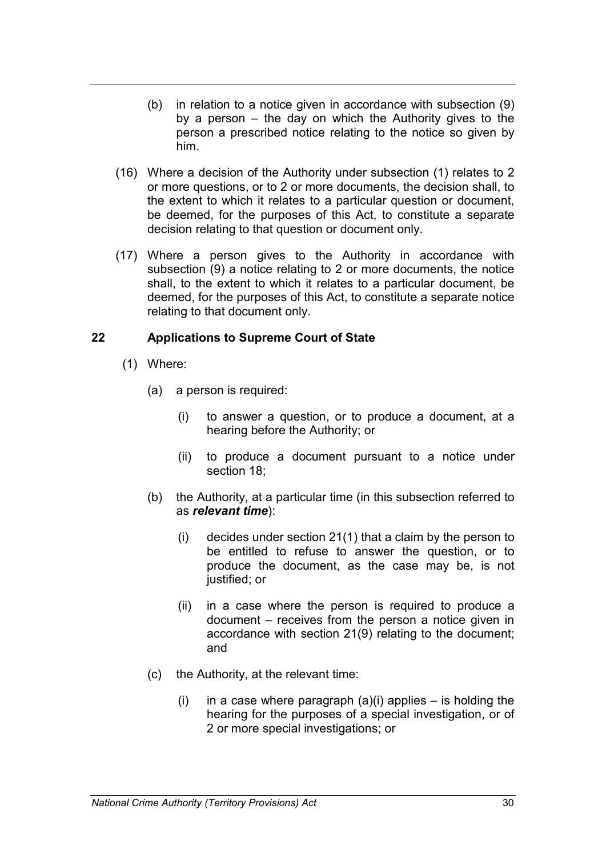- (b) in relation to a notice given in accordance with subsection (9) by a person – the day on which the Authority gives to the person a prescribed notice relating to the notice so given by him.
- (16) Where a decision of the Authority under subsection (1) relates to 2 or more questions, or to 2 or more documents, the decision shall, to the extent to which it relates to a particular question or document, be deemed, for the purposes of this Act, to constitute a separate decision relating to that question or document only.
- (17) Where a person gives to the Authority in accordance with subsection (9) a notice relating to 2 or more documents, the notice shall, to the extent to which it relates to a particular document, be deemed, for the purposes of this Act, to constitute a separate notice relating to that document only.

# **22 Applications to Supreme Court of State**

- (1) Where:
	- (a) a person is required:
		- (i) to answer a question, or to produce a document, at a hearing before the Authority; or
		- (ii) to produce a document pursuant to a notice under section 18;
	- (b) the Authority, at a particular time (in this subsection referred to as *relevant time*):
		- (i) decides under section 21(1) that a claim by the person to be entitled to refuse to answer the question, or to produce the document, as the case may be, is not justified; or
		- (ii) in a case where the person is required to produce a document – receives from the person a notice given in accordance with section 21(9) relating to the document; and
	- (c) the Authority, at the relevant time:
		- (i) in a case where paragraph  $(a)(i)$  applies is holding the hearing for the purposes of a special investigation, or of 2 or more special investigations; or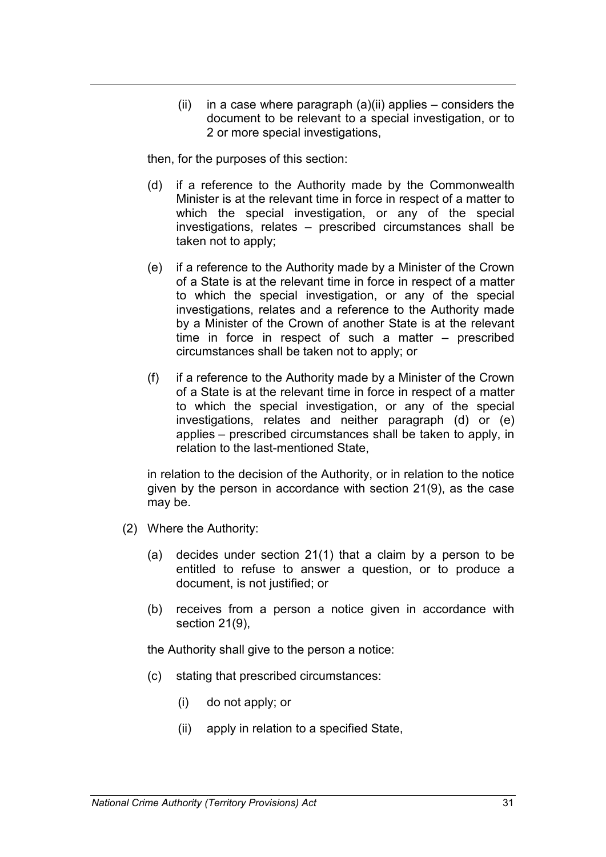(ii) in a case where paragraph  $(a)(ii)$  applies – considers the document to be relevant to a special investigation, or to 2 or more special investigations,

then, for the purposes of this section:

- (d) if a reference to the Authority made by the Commonwealth Minister is at the relevant time in force in respect of a matter to which the special investigation, or any of the special investigations, relates – prescribed circumstances shall be taken not to apply;
- (e) if a reference to the Authority made by a Minister of the Crown of a State is at the relevant time in force in respect of a matter to which the special investigation, or any of the special investigations, relates and a reference to the Authority made by a Minister of the Crown of another State is at the relevant time in force in respect of such a matter – prescribed circumstances shall be taken not to apply; or
- (f) if a reference to the Authority made by a Minister of the Crown of a State is at the relevant time in force in respect of a matter to which the special investigation, or any of the special investigations, relates and neither paragraph (d) or (e) applies – prescribed circumstances shall be taken to apply, in relation to the last-mentioned State,

in relation to the decision of the Authority, or in relation to the notice given by the person in accordance with section 21(9), as the case may be.

- (2) Where the Authority:
	- (a) decides under section 21(1) that a claim by a person to be entitled to refuse to answer a question, or to produce a document, is not justified; or
	- (b) receives from a person a notice given in accordance with section 21(9),

the Authority shall give to the person a notice:

- (c) stating that prescribed circumstances:
	- (i) do not apply; or
	- (ii) apply in relation to a specified State,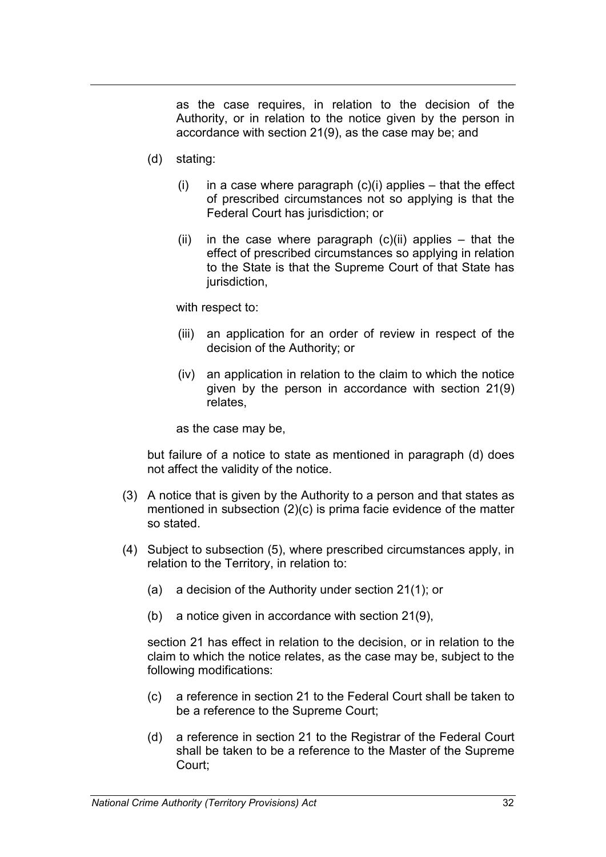as the case requires, in relation to the decision of the Authority, or in relation to the notice given by the person in accordance with section 21(9), as the case may be; and

- (d) stating:
	- (i) in a case where paragraph  $(c)(i)$  applies that the effect of prescribed circumstances not so applying is that the Federal Court has jurisdiction; or
	- $(ii)$  in the case where paragraph  $(c)(ii)$  applies that the effect of prescribed circumstances so applying in relation to the State is that the Supreme Court of that State has jurisdiction,

with respect to:

- (iii) an application for an order of review in respect of the decision of the Authority; or
- (iv) an application in relation to the claim to which the notice given by the person in accordance with section 21(9) relates,

as the case may be,

but failure of a notice to state as mentioned in paragraph (d) does not affect the validity of the notice.

- (3) A notice that is given by the Authority to a person and that states as mentioned in subsection (2)(c) is prima facie evidence of the matter so stated.
- (4) Subject to subsection (5), where prescribed circumstances apply, in relation to the Territory, in relation to:
	- (a) a decision of the Authority under section 21(1); or
	- (b) a notice given in accordance with section 21(9),

section 21 has effect in relation to the decision, or in relation to the claim to which the notice relates, as the case may be, subject to the following modifications:

- (c) a reference in section 21 to the Federal Court shall be taken to be a reference to the Supreme Court;
- (d) a reference in section 21 to the Registrar of the Federal Court shall be taken to be a reference to the Master of the Supreme Court;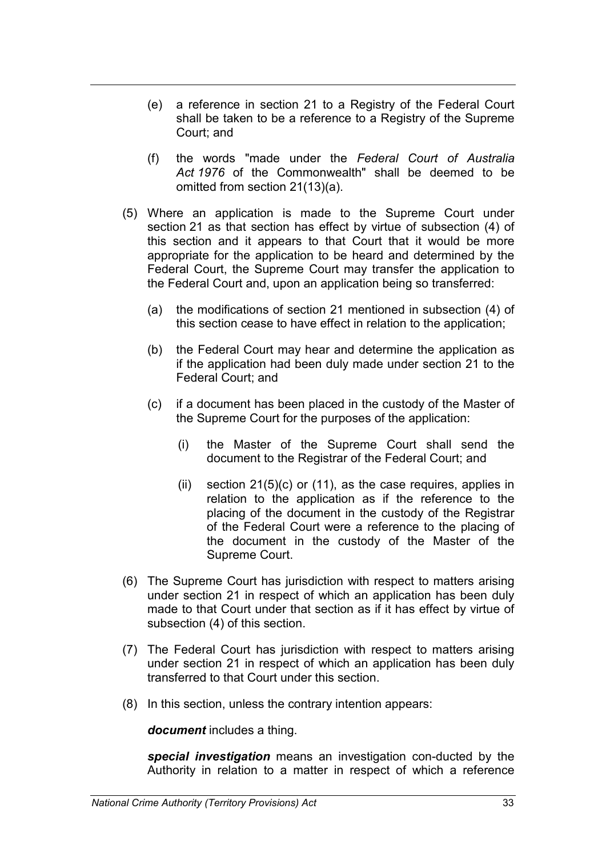- (e) a reference in section 21 to a Registry of the Federal Court shall be taken to be a reference to a Registry of the Supreme Court; and
- (f) the words "made under the *Federal Court of Australia Act 1976* of the Commonwealth" shall be deemed to be omitted from section 21(13)(a).
- (5) Where an application is made to the Supreme Court under section 21 as that section has effect by virtue of subsection (4) of this section and it appears to that Court that it would be more appropriate for the application to be heard and determined by the Federal Court, the Supreme Court may transfer the application to the Federal Court and, upon an application being so transferred:
	- (a) the modifications of section 21 mentioned in subsection (4) of this section cease to have effect in relation to the application;
	- (b) the Federal Court may hear and determine the application as if the application had been duly made under section 21 to the Federal Court; and
	- (c) if a document has been placed in the custody of the Master of the Supreme Court for the purposes of the application:
		- (i) the Master of the Supreme Court shall send the document to the Registrar of the Federal Court; and
		- (ii) section 21(5)(c) or (11), as the case requires, applies in relation to the application as if the reference to the placing of the document in the custody of the Registrar of the Federal Court were a reference to the placing of the document in the custody of the Master of the Supreme Court.
- (6) The Supreme Court has jurisdiction with respect to matters arising under section 21 in respect of which an application has been duly made to that Court under that section as if it has effect by virtue of subsection (4) of this section.
- (7) The Federal Court has jurisdiction with respect to matters arising under section 21 in respect of which an application has been duly transferred to that Court under this section.
- (8) In this section, unless the contrary intention appears:

*document* includes a thing.

*special investigation* means an investigation con-ducted by the Authority in relation to a matter in respect of which a reference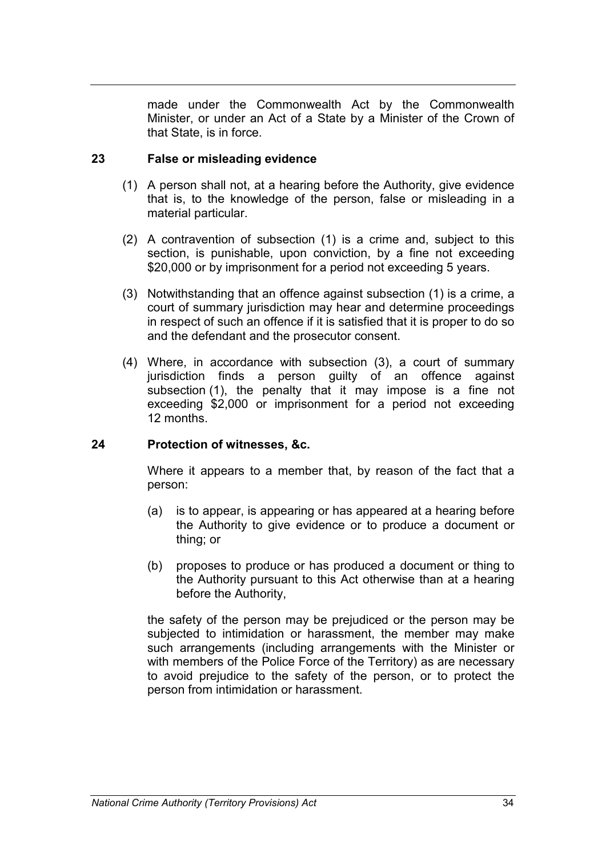made under the Commonwealth Act by the Commonwealth Minister, or under an Act of a State by a Minister of the Crown of that State, is in force.

# **23 False or misleading evidence**

- (1) A person shall not, at a hearing before the Authority, give evidence that is, to the knowledge of the person, false or misleading in a material particular.
- (2) A contravention of subsection (1) is a crime and, subject to this section, is punishable, upon conviction, by a fine not exceeding \$20,000 or by imprisonment for a period not exceeding 5 years.
- (3) Notwithstanding that an offence against subsection (1) is a crime, a court of summary jurisdiction may hear and determine proceedings in respect of such an offence if it is satisfied that it is proper to do so and the defendant and the prosecutor consent.
- (4) Where, in accordance with subsection (3), a court of summary jurisdiction finds a person guilty of an offence against subsection (1), the penalty that it may impose is a fine not exceeding \$2,000 or imprisonment for a period not exceeding 12 months.

### **24 Protection of witnesses, &c.**

Where it appears to a member that, by reason of the fact that a person:

- (a) is to appear, is appearing or has appeared at a hearing before the Authority to give evidence or to produce a document or thing; or
- (b) proposes to produce or has produced a document or thing to the Authority pursuant to this Act otherwise than at a hearing before the Authority,

the safety of the person may be prejudiced or the person may be subjected to intimidation or harassment, the member may make such arrangements (including arrangements with the Minister or with members of the Police Force of the Territory) as are necessary to avoid prejudice to the safety of the person, or to protect the person from intimidation or harassment.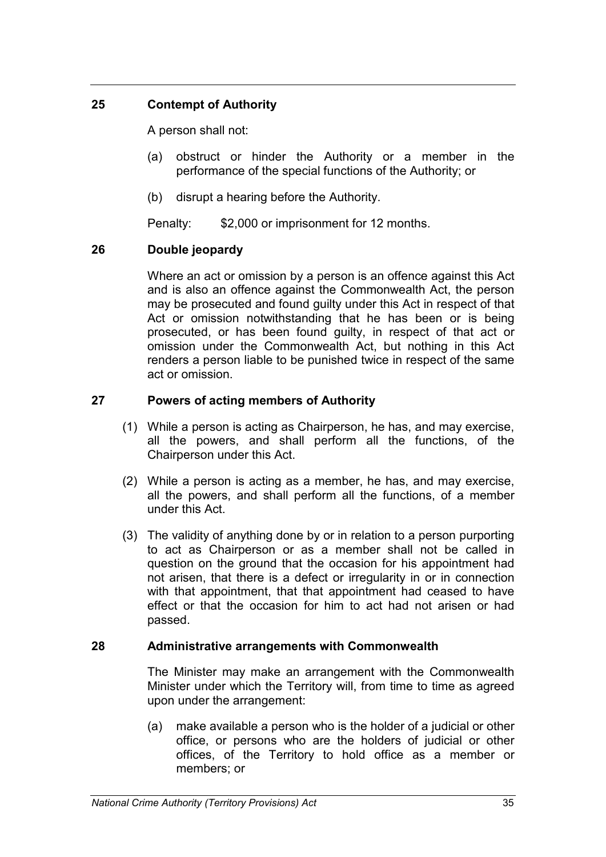# **25 Contempt of Authority**

A person shall not:

- (a) obstruct or hinder the Authority or a member in the performance of the special functions of the Authority; or
- (b) disrupt a hearing before the Authority.

Penalty: \$2,000 or imprisonment for 12 months.

# **26 Double jeopardy**

Where an act or omission by a person is an offence against this Act and is also an offence against the Commonwealth Act, the person may be prosecuted and found guilty under this Act in respect of that Act or omission notwithstanding that he has been or is being prosecuted, or has been found guilty, in respect of that act or omission under the Commonwealth Act, but nothing in this Act renders a person liable to be punished twice in respect of the same act or omission.

# **27 Powers of acting members of Authority**

- (1) While a person is acting as Chairperson, he has, and may exercise, all the powers, and shall perform all the functions, of the Chairperson under this Act.
- (2) While a person is acting as a member, he has, and may exercise, all the powers, and shall perform all the functions, of a member under this Act.
- (3) The validity of anything done by or in relation to a person purporting to act as Chairperson or as a member shall not be called in question on the ground that the occasion for his appointment had not arisen, that there is a defect or irregularity in or in connection with that appointment, that that appointment had ceased to have effect or that the occasion for him to act had not arisen or had passed.

# **28 Administrative arrangements with Commonwealth**

The Minister may make an arrangement with the Commonwealth Minister under which the Territory will, from time to time as agreed upon under the arrangement:

(a) make available a person who is the holder of a judicial or other office, or persons who are the holders of judicial or other offices, of the Territory to hold office as a member or members; or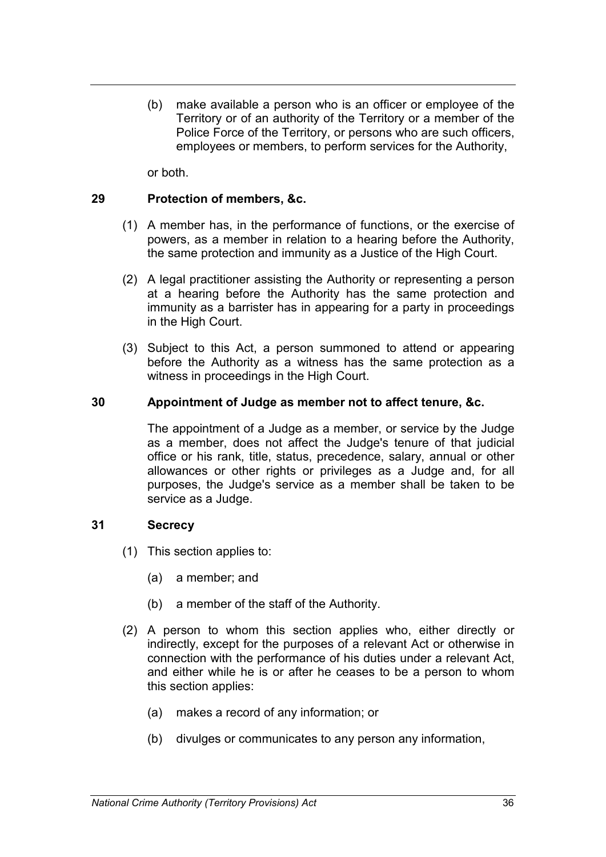(b) make available a person who is an officer or employee of the Territory or of an authority of the Territory or a member of the Police Force of the Territory, or persons who are such officers, employees or members, to perform services for the Authority,

or both.

# **29 Protection of members, &c.**

- (1) A member has, in the performance of functions, or the exercise of powers, as a member in relation to a hearing before the Authority, the same protection and immunity as a Justice of the High Court.
- (2) A legal practitioner assisting the Authority or representing a person at a hearing before the Authority has the same protection and immunity as a barrister has in appearing for a party in proceedings in the High Court.
- (3) Subject to this Act, a person summoned to attend or appearing before the Authority as a witness has the same protection as a witness in proceedings in the High Court.

### **30 Appointment of Judge as member not to affect tenure, &c.**

The appointment of a Judge as a member, or service by the Judge as a member, does not affect the Judge's tenure of that judicial office or his rank, title, status, precedence, salary, annual or other allowances or other rights or privileges as a Judge and, for all purposes, the Judge's service as a member shall be taken to be service as a Judge.

### **31 Secrecy**

- (1) This section applies to:
	- (a) a member; and
	- (b) a member of the staff of the Authority.
- (2) A person to whom this section applies who, either directly or indirectly, except for the purposes of a relevant Act or otherwise in connection with the performance of his duties under a relevant Act, and either while he is or after he ceases to be a person to whom this section applies:
	- (a) makes a record of any information; or
	- (b) divulges or communicates to any person any information,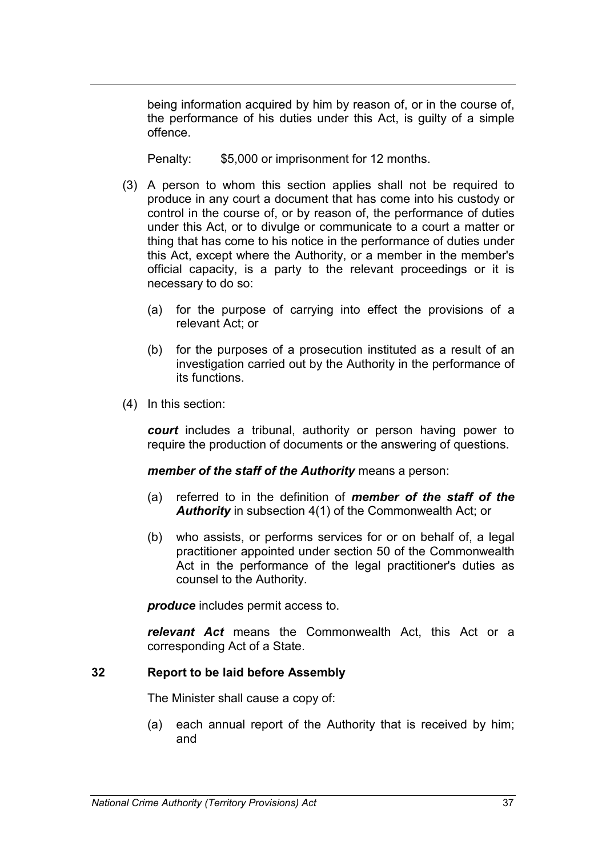being information acquired by him by reason of, or in the course of, the performance of his duties under this Act, is guilty of a simple offence.

Penalty: \$5,000 or imprisonment for 12 months.

- (3) A person to whom this section applies shall not be required to produce in any court a document that has come into his custody or control in the course of, or by reason of, the performance of duties under this Act, or to divulge or communicate to a court a matter or thing that has come to his notice in the performance of duties under this Act, except where the Authority, or a member in the member's official capacity, is a party to the relevant proceedings or it is necessary to do so:
	- (a) for the purpose of carrying into effect the provisions of a relevant Act; or
	- (b) for the purposes of a prosecution instituted as a result of an investigation carried out by the Authority in the performance of its functions.
- (4) In this section:

*court* includes a tribunal, authority or person having power to require the production of documents or the answering of questions.

*member of the staff of the Authority* means a person:

- (a) referred to in the definition of *member of the staff of the Authority* in subsection 4(1) of the Commonwealth Act; or
- (b) who assists, or performs services for or on behalf of, a legal practitioner appointed under section 50 of the Commonwealth Act in the performance of the legal practitioner's duties as counsel to the Authority.

*produce* includes permit access to.

*relevant Act* means the Commonwealth Act, this Act or a corresponding Act of a State.

### **32 Report to be laid before Assembly**

The Minister shall cause a copy of:

(a) each annual report of the Authority that is received by him; and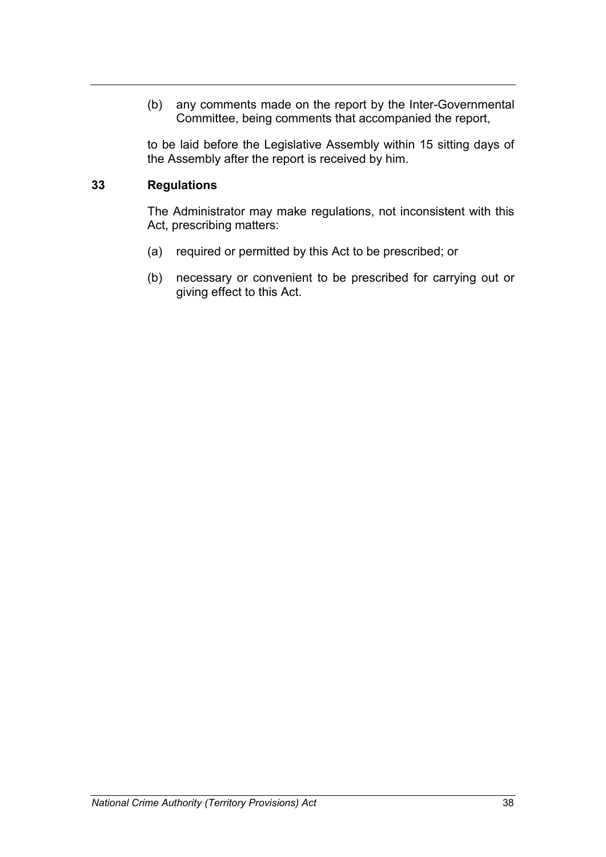(b) any comments made on the report by the Inter-Governmental Committee, being comments that accompanied the report,

to be laid before the Legislative Assembly within 15 sitting days of the Assembly after the report is received by him.

# **33 Regulations**

The Administrator may make regulations, not inconsistent with this Act, prescribing matters:

- (a) required or permitted by this Act to be prescribed; or
- (b) necessary or convenient to be prescribed for carrying out or giving effect to this Act.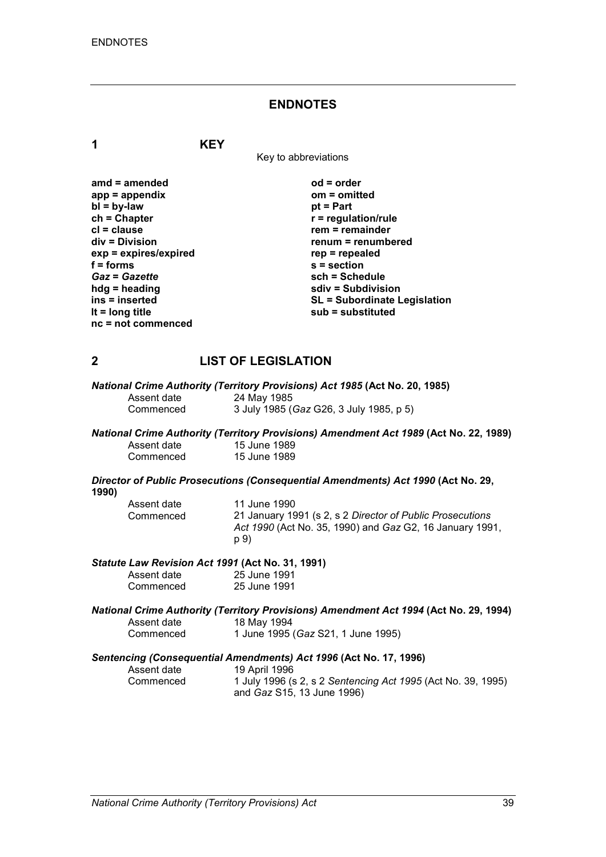#### **ENDNOTES**

**1 KEY**

Key to abbreviations

| $amd = amended$         | $od = order$                        |
|-------------------------|-------------------------------------|
| $app = appendix$        | $om = omitted$                      |
| $bl = by-law$           | $pt = Part$                         |
| $ch = Chapter$          | $r =$ regulation/rule               |
| $cl = clause$           | $rem = remainder$                   |
| $div = Division$        | renum = renumbered                  |
| $exp = expires/expired$ | $rep = repeated$                    |
| $f =$ forms             | $s =$ section                       |
| <b>Gaz = Gazette</b>    | sch = Schedule                      |
| $hdg =$ heading         | sdiv = Subdivision                  |
| ins = inserted          | <b>SL = Subordinate Legislation</b> |
| It = $long$ title       | $sub =$ substituted                 |
| $nc = not$ commenced    |                                     |

# **2 LIST OF LEGISLATION**

*National Crime Authority (Territory Provisions) Act 1985* **(Act No. 20, 1985)** Assent date 24 May 1985<br>Commenced 3 July 1985 ( Commenced 3 July 1985 (*Gaz* G26, 3 July 1985, p 5)

*National Crime Authority (Territory Provisions) Amendment Act 1989* **(Act No. 22, 1989)** Assent date 15 June 1989<br>Commenced 15 June 1989 15 June 1989

*Director of Public Prosecutions (Consequential Amendments) Act 1990* **(Act No. 29, 1990)**

| Assent date | 11 June 1990                                              |
|-------------|-----------------------------------------------------------|
| Commenced   | 21 January 1991 (s 2, s 2 Director of Public Prosecutions |
|             | Act 1990 (Act No. 35, 1990) and Gaz G2, 16 January 1991,  |
|             | p 9)                                                      |

#### *Statute Law Revision Act 1991* **(Act No. 31, 1991)**

| Assent date | 25 June 1991 |
|-------------|--------------|
| Commenced   | 25 June 1991 |

|             | National Crime Authority (Territory Provisions) Amendment Act 1994 (Act No. 29, 1994) |
|-------------|---------------------------------------------------------------------------------------|
| Assent date | 18 Mav 1994                                                                           |
| Commenced   | 1 June 1995 (Gaz S21, 1 June 1995)                                                    |

#### *Sentencing (Consequential Amendments) Act 1996* **(Act No. 17, 1996)**

| Assent date | 19 April 1996                                                |
|-------------|--------------------------------------------------------------|
| Commenced   | 1 July 1996 (s 2, s 2 Sentencing Act 1995 (Act No. 39, 1995) |
|             | and <i>Gaz</i> S15, 13 June 1996)                            |